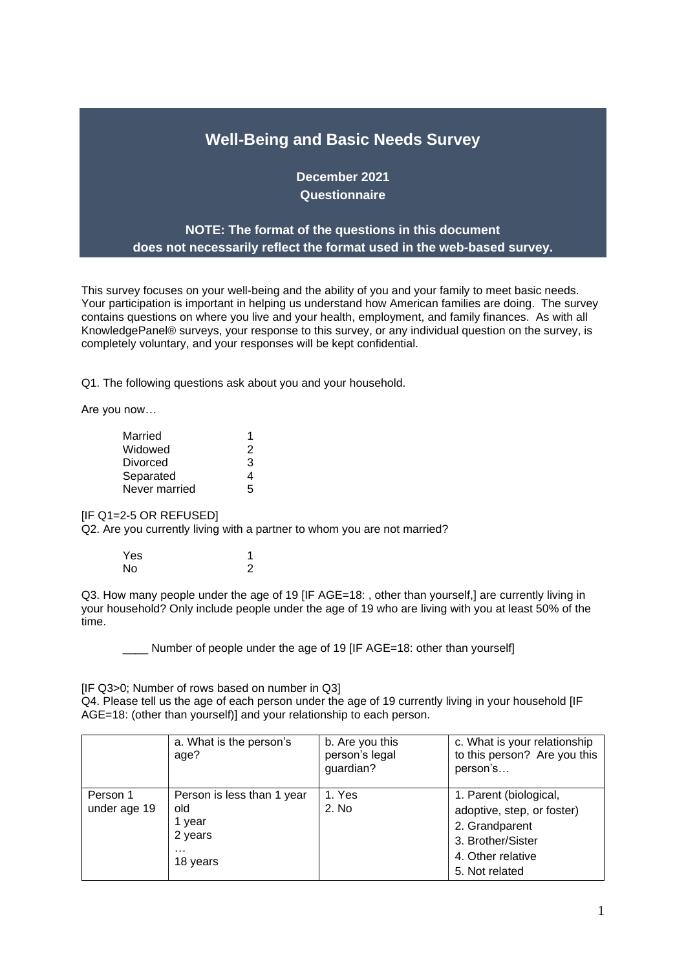# **Well-Being and Basic Needs Survey**

**December 2021 Questionnaire**

## **NOTE: The format of the questions in this document does not necessarily reflect the format used in the web-based survey.**

This survey focuses on your well-being and the ability of you and your family to meet basic needs. Your participation is important in helping us understand how American families are doing. The survey contains questions on where you live and your health, employment, and family finances. As with all KnowledgePanel® surveys, your response to this survey, or any individual question on the survey, is completely voluntary, and your responses will be kept confidential.

Q1. The following questions ask about you and your household.

Are you now…

| Married       |   |
|---------------|---|
| Widowed       | 2 |
| Divorced      | 3 |
| Separated     | 4 |
| Never married | 5 |

[IF Q1=2-5 OR REFUSED]

Q2. Are you currently living with a partner to whom you are not married?

| Yes       |   |
|-----------|---|
| <b>No</b> | 2 |

Q3. How many people under the age of 19 [IF AGE=18: , other than yourself,] are currently living in your household? Only include people under the age of 19 who are living with you at least 50% of the time.

Number of people under the age of 19 [IF AGE=18: other than yourself]

[IF Q3>0; Number of rows based on number in Q3]

Q4. Please tell us the age of each person under the age of 19 currently living in your household [IF AGE=18: (other than yourself)] and your relationship to each person.

|                          | a. What is the person's<br>age?                                                | b. Are you this<br>person's legal<br>guardian? | c. What is your relationship<br>to this person? Are you this<br>person's                                                           |
|--------------------------|--------------------------------------------------------------------------------|------------------------------------------------|------------------------------------------------------------------------------------------------------------------------------------|
| Person 1<br>under age 19 | Person is less than 1 year<br>old<br>1 year<br>2 years<br>$\cdots$<br>18 years | 1. Yes<br>2. No                                | 1. Parent (biological,<br>adoptive, step, or foster)<br>2. Grandparent<br>3. Brother/Sister<br>4. Other relative<br>5. Not related |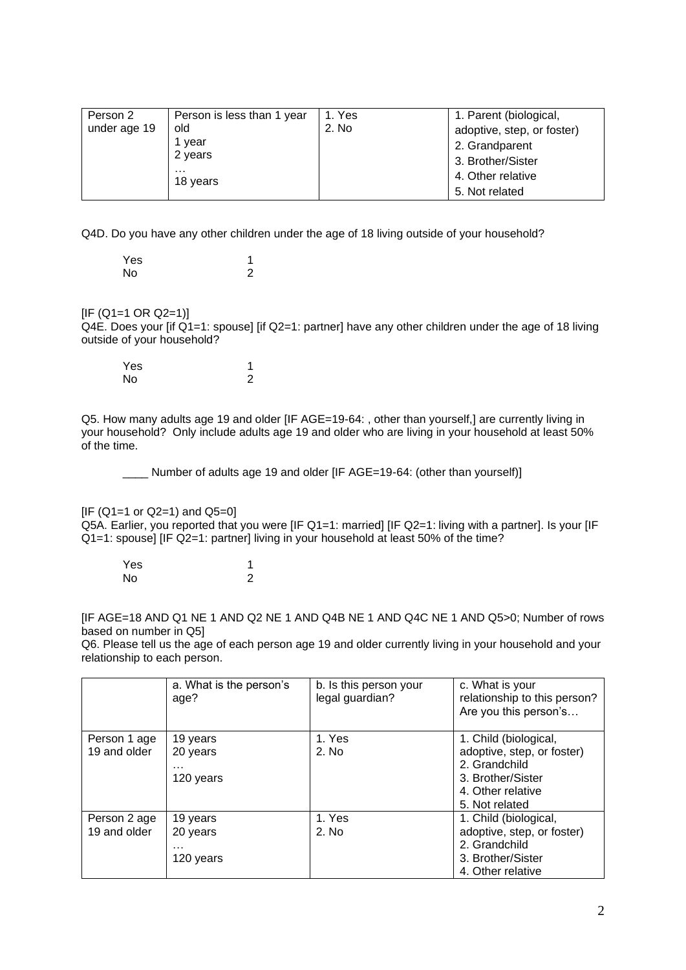| Person 2     | Person is less than 1 year | 1. Yes | 1. Parent (biological,     |
|--------------|----------------------------|--------|----------------------------|
| under age 19 | old                        | 2. No  | adoptive, step, or foster) |
|              | 1 year                     |        | 2. Grandparent             |
|              | 2 years                    |        | 3. Brother/Sister          |
|              | .<br>18 years              |        | 4. Other relative          |
|              |                            |        | 5. Not related             |

Q4D. Do you have any other children under the age of 18 living outside of your household?

| Yes |  |
|-----|--|
| No  |  |

## $[IF (Q1=1 OR Q2=1)]$

Q4E. Does your [if Q1=1: spouse] [if Q2=1: partner] have any other children under the age of 18 living outside of your household?

| Yes |   |
|-----|---|
| No  | 2 |

Q5. How many adults age 19 and older [IF AGE=19-64: , other than yourself,] are currently living in your household? Only include adults age 19 and older who are living in your household at least 50% of the time.

\_\_\_\_ Number of adults age 19 and older [IF AGE=19-64: (other than yourself)]

 $IIF (Q1=1 or Q2=1)$  and  $Q5=0$ ]

Q5A. Earlier, you reported that you were [IF Q1=1: married] [IF Q2=1: living with a partner]. Is your [IF Q1=1: spouse] [IF Q2=1: partner] living in your household at least 50% of the time?

Yes 1<br>No 2 No.

[IF AGE=18 AND Q1 NE 1 AND Q2 NE 1 AND Q4B NE 1 AND Q4C NE 1 AND Q5>0; Number of rows based on number in Q5]

Q6. Please tell us the age of each person age 19 and older currently living in your household and your relationship to each person.

|              | a. What is the person's<br>age? | b. Is this person your<br>legal guardian? | c. What is your<br>relationship to this person?<br>Are you this person's |
|--------------|---------------------------------|-------------------------------------------|--------------------------------------------------------------------------|
| Person 1 age | 19 years                        | 1. Yes                                    | 1. Child (biological,                                                    |
| 19 and older | 20 years                        | 2. No                                     | adoptive, step, or foster)                                               |
|              |                                 |                                           | 2. Grandchild                                                            |
|              | 120 years                       |                                           | 3. Brother/Sister                                                        |
|              |                                 |                                           | 4. Other relative                                                        |
|              |                                 |                                           | 5. Not related                                                           |
| Person 2 age | 19 years                        | 1. Yes                                    | 1. Child (biological,                                                    |
| 19 and older | 20 years                        | 2. No                                     | adoptive, step, or foster)                                               |
|              |                                 |                                           | 2. Grandchild                                                            |
|              | 120 years                       |                                           | 3. Brother/Sister                                                        |
|              |                                 |                                           | 4. Other relative                                                        |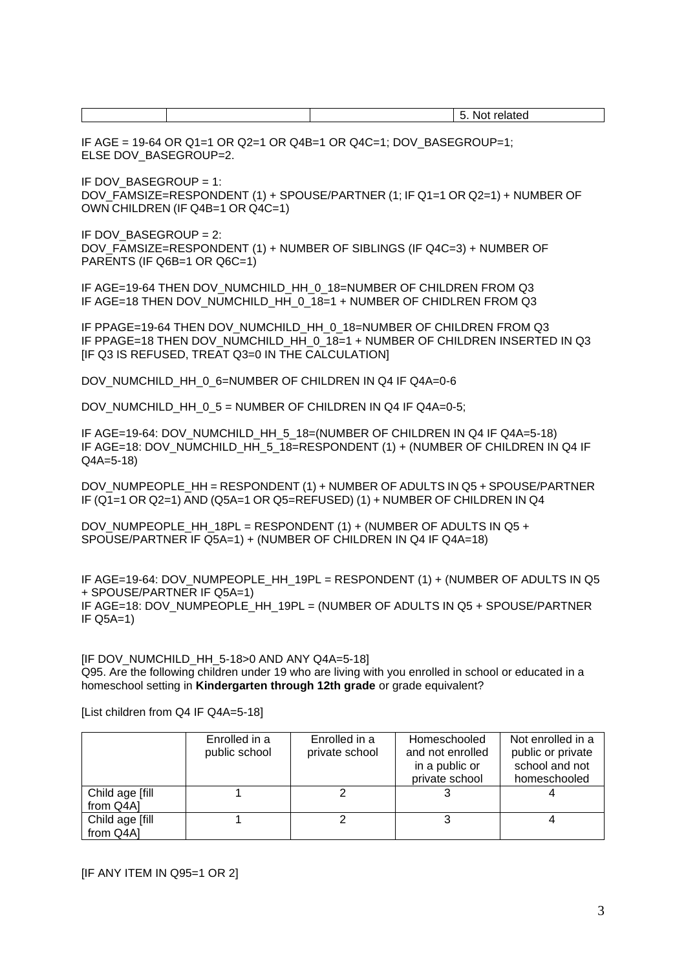IF AGE =  $19-64$  OR Q1=1 OR Q2=1 OR Q4B=1 OR Q4C=1; DOV\_BASEGROUP=1; ELSE DOV\_BASEGROUP=2.

IF DOV\_BASEGROUP = 1: DOV\_FAMSIZE=RESPONDENT (1) + SPOUSE/PARTNER (1; IF Q1=1 OR Q2=1) + NUMBER OF OWN CHILDREN (IF Q4B=1 OR Q4C=1)

IF DOV BASEGROUP = 2: DOV\_FAMSIZE=RESPONDENT (1) + NUMBER OF SIBLINGS (IF Q4C=3) + NUMBER OF PARENTS (IF Q6B=1 OR Q6C=1)

IF AGE=19-64 THEN DOV\_NUMCHILD\_HH\_0\_18=NUMBER OF CHILDREN FROM Q3 IF AGE=18 THEN DOV\_NUMCHILD\_HH\_0\_18=1 + NUMBER OF CHIDLREN FROM Q3

IF PPAGE=19-64 THEN DOV\_NUMCHILD\_HH\_0\_18=NUMBER OF CHILDREN FROM Q3 IF PPAGE=18 THEN DOV NUMCHILD HH 0 18=1 + NUMBER OF CHILDREN INSERTED IN Q3 [IF Q3 IS REFUSED, TREAT Q3=0 IN THE CALCULATION]

DOV\_NUMCHILD\_HH\_0\_6=NUMBER OF CHILDREN IN Q4 IF Q4A=0-6

DOV\_NUMCHILD\_HH\_0\_5 = NUMBER OF CHILDREN IN Q4 IF Q4A=0-5;

IF AGE=19-64: DOV\_NUMCHILD\_HH\_5\_18=(NUMBER OF CHILDREN IN Q4 IF Q4A=5-18) IF AGE=18: DOV\_NUMCHILD\_HH\_5\_18=RESPONDENT (1) + (NUMBER OF CHILDREN IN Q4 IF Q4A=5-18)

DOV\_NUMPEOPLE\_HH = RESPONDENT (1) + NUMBER OF ADULTS IN Q5 + SPOUSE/PARTNER IF (Q1=1 OR Q2=1) AND (Q5A=1 OR Q5=REFUSED) (1) + NUMBER OF CHILDREN IN Q4

DOV\_NUMPEOPLE\_HH\_18PL = RESPONDENT (1) + (NUMBER OF ADULTS IN Q5 + SPOUSE/PARTNER IF Q5A=1) + (NUMBER OF CHILDREN IN Q4 IF Q4A=18)

IF AGE=19-64: DOV\_NUMPEOPLE\_HH\_19PL = RESPONDENT (1) + (NUMBER OF ADULTS IN Q5 + SPOUSE/PARTNER IF Q5A=1) IF AGE=18: DOV\_NUMPEOPLE\_HH\_19PL = (NUMBER OF ADULTS IN Q5 + SPOUSE/PARTNER IF Q5A=1)

[IF DOV\_NUMCHILD\_HH\_5-18>0 AND ANY Q4A=5-18] Q95. Are the following children under 19 who are living with you enrolled in school or educated in a homeschool setting in **Kindergarten through 12th grade** or grade equivalent?

|                               | Enrolled in a<br>public school | Enrolled in a<br>private school | Homeschooled<br>and not enrolled<br>in a public or<br>private school | Not enrolled in a<br>public or private<br>school and not<br>homeschooled |
|-------------------------------|--------------------------------|---------------------------------|----------------------------------------------------------------------|--------------------------------------------------------------------------|
| Child age [fill]<br>from Q4A] |                                |                                 |                                                                      |                                                                          |
| Child age [fill]<br>from Q4A] |                                |                                 |                                                                      |                                                                          |

[List children from Q4 IF Q4A=5-18]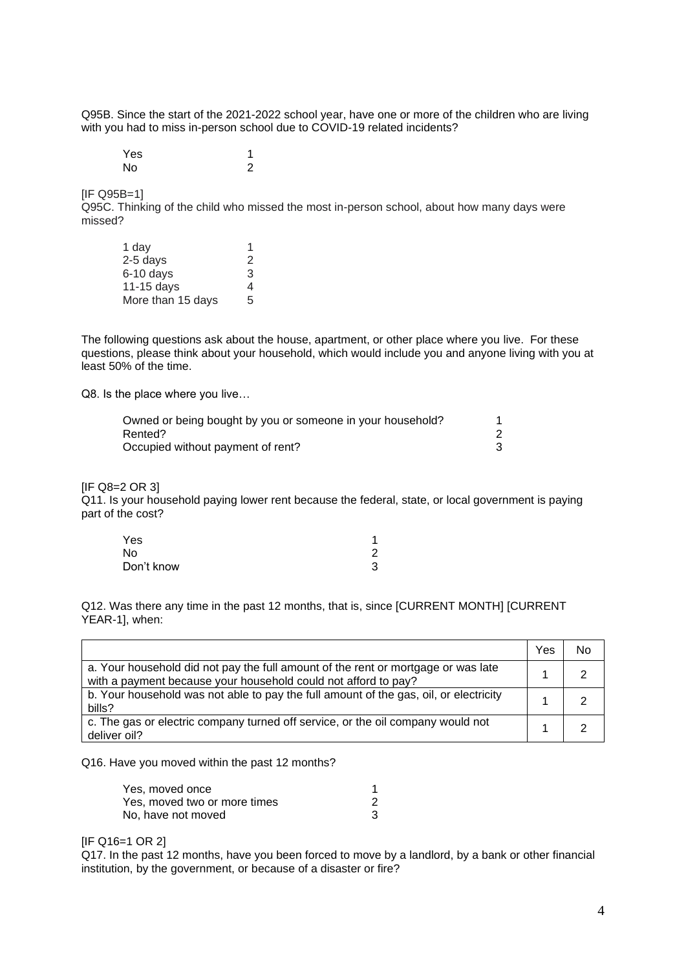Q95B. Since the start of the 2021-2022 school year, have one or more of the children who are living with you had to miss in-person school due to COVID-19 related incidents?

Yes 1 No 2

[IF Q95B=1]

Q95C. Thinking of the child who missed the most in-person school, about how many days were missed?

| 1 day             |   |
|-------------------|---|
| 2-5 days          | 2 |
| 6-10 days         | 3 |
| 11-15 days        | 4 |
| More than 15 days | 5 |

The following questions ask about the house, apartment, or other place where you live. For these questions, please think about your household, which would include you and anyone living with you at least 50% of the time.

Q8. Is the place where you live…

| Owned or being bought by you or someone in your household? |  |
|------------------------------------------------------------|--|
| Rented?                                                    |  |
| Occupied without payment of rent?                          |  |

## $IIF$  Q8=2 OR 31

Q11. Is your household paying lower rent because the federal, state, or local government is paying part of the cost?

| Yes        | 4 |
|------------|---|
| No         | 2 |
| Don't know | 3 |

Q12. Was there any time in the past 12 months, that is, since [CURRENT MONTH] [CURRENT YEAR-1], when:

|                                                                                                                                                     | Yes | No |
|-----------------------------------------------------------------------------------------------------------------------------------------------------|-----|----|
| a. Your household did not pay the full amount of the rent or mortgage or was late<br>with a payment because your household could not afford to pay? |     |    |
| b. Your household was not able to pay the full amount of the gas, oil, or electricity<br>bills?                                                     |     |    |
| c. The gas or electric company turned off service, or the oil company would not<br>deliver oil?                                                     |     |    |

Q16. Have you moved within the past 12 months?

| Yes, moved once              |  |
|------------------------------|--|
| Yes, moved two or more times |  |
| No. have not moved           |  |

[IF Q16=1 OR 2]

Q17. In the past 12 months, have you been forced to move by a landlord, by a bank or other financial institution, by the government, or because of a disaster or fire?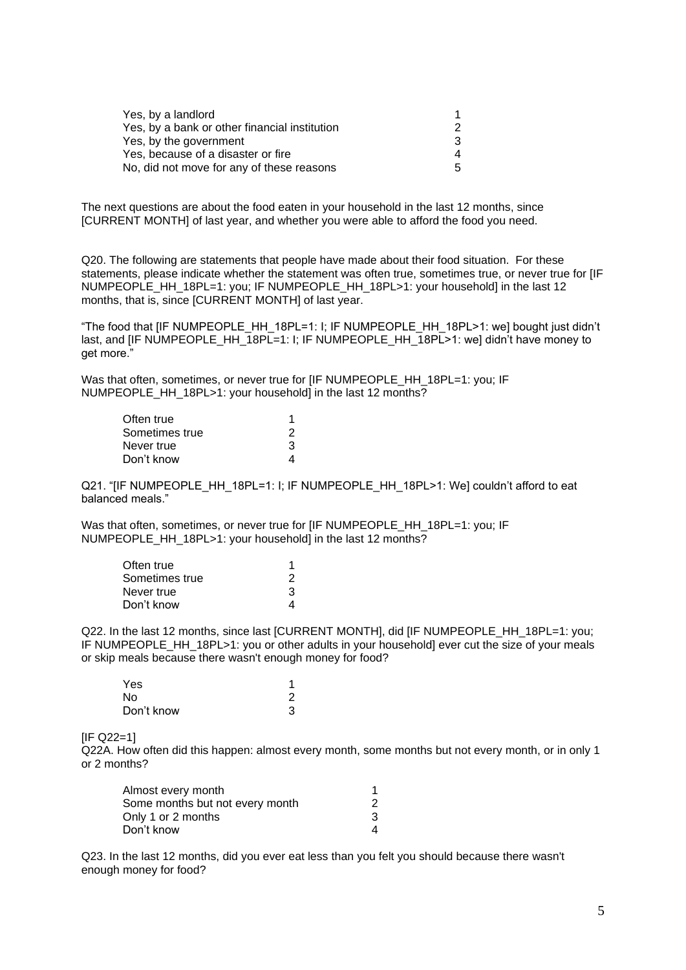| Yes, by a landlord                            |    |
|-----------------------------------------------|----|
| Yes, by a bank or other financial institution |    |
| Yes, by the government                        | 3  |
| Yes, because of a disaster or fire            | 4  |
| No, did not move for any of these reasons     | 5. |

The next questions are about the food eaten in your household in the last 12 months, since [CURRENT MONTH] of last year, and whether you were able to afford the food you need.

Q20. The following are statements that people have made about their food situation. For these statements, please indicate whether the statement was often true, sometimes true, or never true for [IF NUMPEOPLE\_HH\_18PL=1: you; IF NUMPEOPLE\_HH\_18PL>1: your household] in the last 12 months, that is, since [CURRENT MONTH] of last year.

"The food that [IF NUMPEOPLE\_HH\_18PL=1: I; IF NUMPEOPLE\_HH\_18PL>1: we] bought just didn't last, and [IF NUMPEOPLE HH 18PL=1: I; IF NUMPEOPLE HH 18PL>1: we] didn't have money to get more."

Was that often, sometimes, or never true for [IF NUMPEOPLE\_HH\_18PL=1: you; IF NUMPEOPLE\_HH\_18PL>1: your household] in the last 12 months?

| Often true     |   |
|----------------|---|
| Sometimes true | 2 |
| Never true     | 3 |
| Don't know     |   |

Q21. "[IF NUMPEOPLE\_HH\_18PL=1: I; IF NUMPEOPLE\_HH\_18PL>1: We] couldn't afford to eat balanced meals."

Was that often, sometimes, or never true for [IF NUMPEOPLE\_HH\_18PL=1: you; IF NUMPEOPLE\_HH\_18PL>1: your household] in the last 12 months?

| Often true     |   |
|----------------|---|
| Sometimes true | 2 |
| Never true     | 3 |
| Don't know     |   |

Q22. In the last 12 months, since last [CURRENT MONTH], did [IF NUMPEOPLE\_HH\_18PL=1: you; IF NUMPEOPLE\_HH\_18PL>1: you or other adults in your household] ever cut the size of your meals or skip meals because there wasn't enough money for food?

| Yes        |   |
|------------|---|
| No         | 2 |
| Don't know | 3 |

[IF Q22=1]

Q22A. How often did this happen: almost every month, some months but not every month, or in only 1 or 2 months?

| Almost every month              |  |
|---------------------------------|--|
| Some months but not every month |  |
| Only 1 or 2 months              |  |
| Don't know                      |  |

Q23. In the last 12 months, did you ever eat less than you felt you should because there wasn't enough money for food?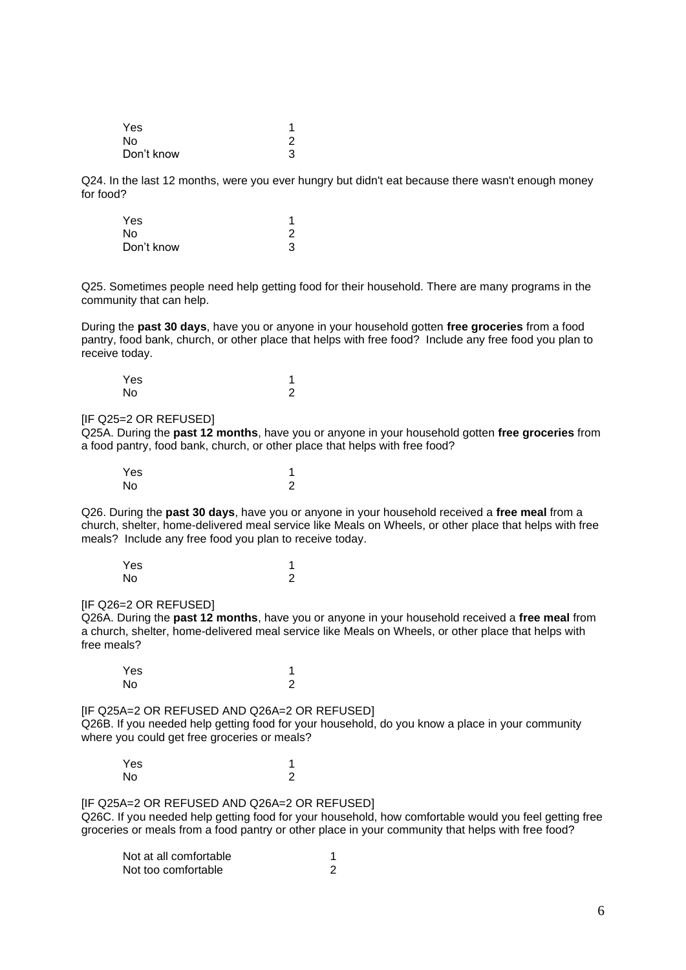| Yes            |   |
|----------------|---|
| N <sub>0</sub> | 2 |
| Don't know     | 3 |

Q24. In the last 12 months, were you ever hungry but didn't eat because there wasn't enough money for food?

| Yes        |   |
|------------|---|
| No         | 2 |
| Don't know | 3 |

Q25. Sometimes people need help getting food for their household. There are many programs in the community that can help.

During the **past 30 days**, have you or anyone in your household gotten **free groceries** from a food pantry, food bank, church, or other place that helps with free food? Include any free food you plan to receive today.

| Yes |   |
|-----|---|
| No  | 2 |

#### [IF Q25=2 OR REFUSED]

Q25A. During the **past 12 months**, have you or anyone in your household gotten **free groceries** from a food pantry, food bank, church, or other place that helps with free food?

| Yes |   |
|-----|---|
| No  | っ |

Q26. During the **past 30 days**, have you or anyone in your household received a **free meal** from a church, shelter, home-delivered meal service like Meals on Wheels, or other place that helps with free meals? Include any free food you plan to receive today.

| Yes |   |
|-----|---|
| No  | っ |

#### **IIF Q26=2 OR REFUSEDI**

Q26A. During the **past 12 months**, have you or anyone in your household received a **free meal** from a church, shelter, home-delivered meal service like Meals on Wheels, or other place that helps with free meals?

Yes and the set of the set of the set of the set of the set of the set of the set of the set of the set of the No 2

[IF Q25A=2 OR REFUSED AND Q26A=2 OR REFUSED] Q26B. If you needed help getting food for your household, do you know a place in your community where you could get free groceries or meals?

Yes 1<br>No 2 No 2

[IF Q25A=2 OR REFUSED AND Q26A=2 OR REFUSED] Q26C. If you needed help getting food for your household, how comfortable would you feel getting free groceries or meals from a food pantry or other place in your community that helps with free food?

| Not at all comfortable |  |
|------------------------|--|
| Not too comfortable    |  |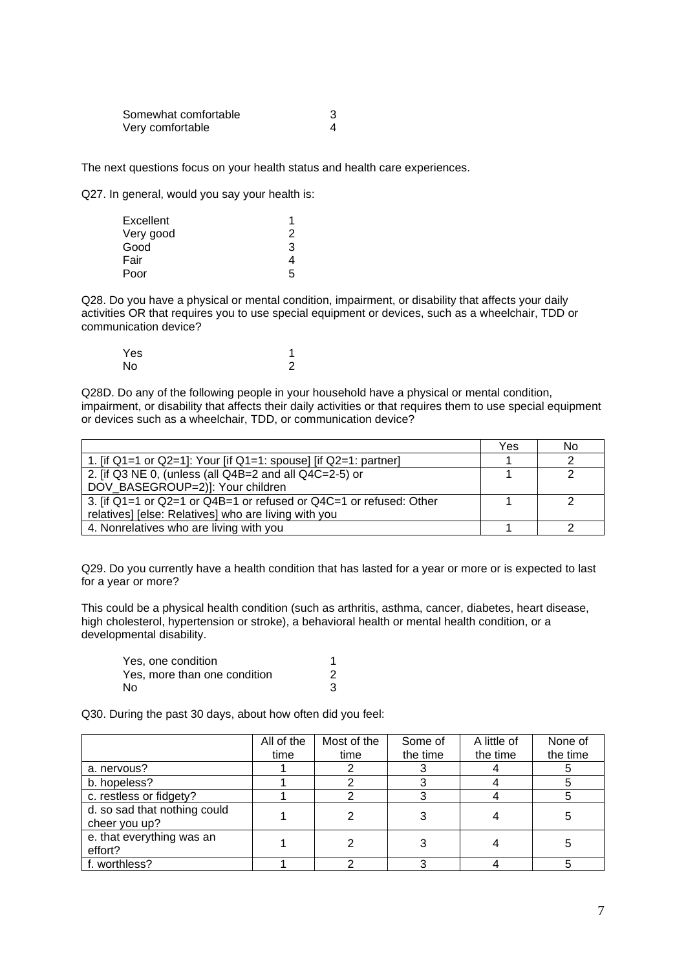| Somewhat comfortable |  |
|----------------------|--|
| Very comfortable     |  |

The next questions focus on your health status and health care experiences.

Q27. In general, would you say your health is:

| Excellent |    |
|-----------|----|
| Very good | 2  |
| Good      | З  |
| Fair      |    |
| Poor      | г, |

Q28. Do you have a physical or mental condition, impairment, or disability that affects your daily activities OR that requires you to use special equipment or devices, such as a wheelchair, TDD or communication device?

| Yes |   |
|-----|---|
| No  | っ |

Q28D. Do any of the following people in your household have a physical or mental condition, impairment, or disability that affects their daily activities or that requires them to use special equipment or devices such as a wheelchair, TDD, or communication device?

|                                                                    | Yes | No |
|--------------------------------------------------------------------|-----|----|
| 1. [if Q1=1 or Q2=1]: Your [if Q1=1: spouse] [if Q2=1: partner]    |     |    |
| 2. [if Q3 NE 0, (unless (all Q4B=2 and all Q4C=2-5) or             |     |    |
| DOV BASEGROUP=2)]: Your children                                   |     |    |
| 3. [if Q1=1 or Q2=1 or Q4B=1 or refused or Q4C=1 or refused: Other |     |    |
| relatives] [else: Relatives] who are living with you               |     |    |
| 4. Nonrelatives who are living with you                            |     |    |

Q29. Do you currently have a health condition that has lasted for a year or more or is expected to last for a year or more?

This could be a physical health condition (such as arthritis, asthma, cancer, diabetes, heart disease, high cholesterol, hypertension or stroke), a behavioral health or mental health condition, or a developmental disability.

| Yes. one condition           |  |
|------------------------------|--|
| Yes, more than one condition |  |
| No                           |  |

Q30. During the past 30 days, about how often did you feel:

|                                               | All of the | Most of the | Some of  | A little of | None of  |
|-----------------------------------------------|------------|-------------|----------|-------------|----------|
|                                               | time       | time        | the time | the time    | the time |
| a. nervous?                                   |            |             |          |             |          |
| b. hopeless?                                  |            |             |          |             |          |
| c. restless or fidgety?                       |            |             |          |             |          |
| d. so sad that nothing could<br>cheer you up? |            |             |          |             |          |
| e. that everything was an<br>effort?          |            |             |          |             |          |
| f. worthless?                                 |            |             |          |             |          |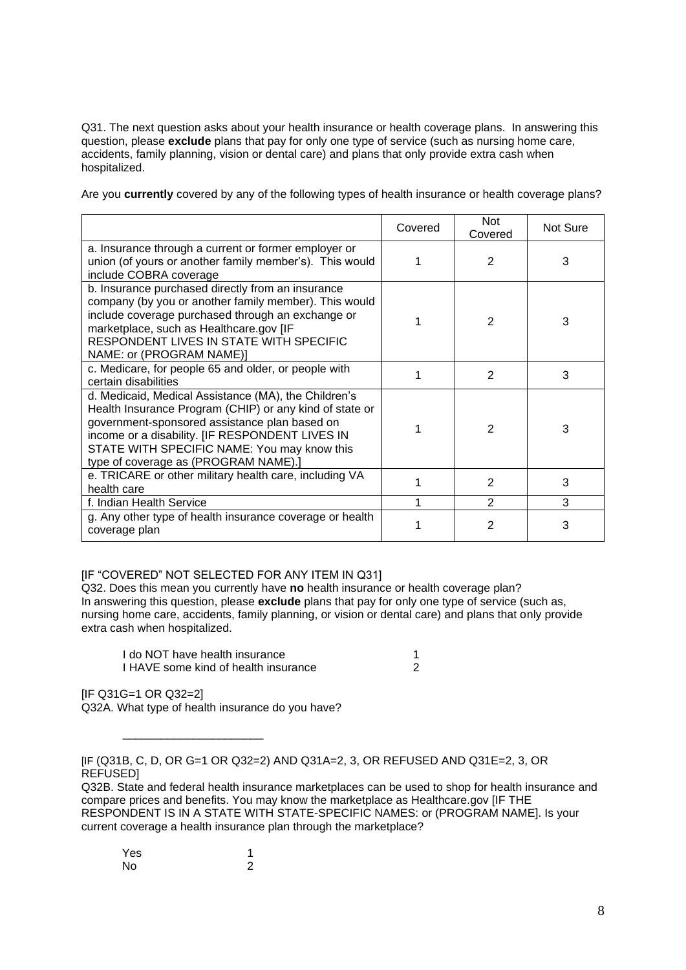Q31. The next question asks about your health insurance or health coverage plans. In answering this question, please **exclude** plans that pay for only one type of service (such as nursing home care, accidents, family planning, vision or dental care) and plans that only provide extra cash when hospitalized.

Are you **currently** covered by any of the following types of health insurance or health coverage plans?

|                                                                                                                                                                                                                                                                                                            | Covered | <b>Not</b><br>Covered | Not Sure |
|------------------------------------------------------------------------------------------------------------------------------------------------------------------------------------------------------------------------------------------------------------------------------------------------------------|---------|-----------------------|----------|
| a. Insurance through a current or former employer or<br>union (of yours or another family member's). This would<br>include COBRA coverage                                                                                                                                                                  |         | $\overline{2}$        | 3        |
| b. Insurance purchased directly from an insurance<br>company (by you or another family member). This would<br>include coverage purchased through an exchange or<br>marketplace, such as Healthcare.gov [IF<br>RESPONDENT LIVES IN STATE WITH SPECIFIC<br>NAME: or (PROGRAM NAME)]                          |         | $\mathcal{P}$         | 3        |
| c. Medicare, for people 65 and older, or people with<br>certain disabilities                                                                                                                                                                                                                               |         | 2                     | 3        |
| d. Medicaid, Medical Assistance (MA), the Children's<br>Health Insurance Program (CHIP) or any kind of state or<br>government-sponsored assistance plan based on<br>income or a disability. [IF RESPONDENT LIVES IN<br>STATE WITH SPECIFIC NAME: You may know this<br>type of coverage as (PROGRAM NAME).] |         | $\overline{2}$        | 3        |
| e. TRICARE or other military health care, including VA<br>health care                                                                                                                                                                                                                                      |         | $\overline{2}$        | 3        |
| f. Indian Health Service                                                                                                                                                                                                                                                                                   | 1       | 2                     | 3        |
| g. Any other type of health insurance coverage or health<br>coverage plan                                                                                                                                                                                                                                  |         | $\mathfrak{p}$        | 3        |

## [IF "COVERED" NOT SELECTED FOR ANY ITEM IN Q31]

Q32. Does this mean you currently have **no** health insurance or health coverage plan? In answering this question, please **exclude** plans that pay for only one type of service (such as, nursing home care, accidents, family planning, or vision or dental care) and plans that only provide extra cash when hospitalized.

| I do NOT have health insurance       |  |
|--------------------------------------|--|
| I HAVE some kind of health insurance |  |

[IF Q31G=1 OR Q32=2]

Q32A. What type of health insurance do you have?

\_\_\_\_\_\_\_\_\_\_\_\_\_\_\_\_\_\_\_\_\_\_

Q32B. State and federal health insurance marketplaces can be used to shop for health insurance and compare prices and benefits. You may know the marketplace as Healthcare.gov [IF THE RESPONDENT IS IN A STATE WITH STATE-SPECIFIC NAMES: or (PROGRAM NAME]. Is your current coverage a health insurance plan through the marketplace?

| Yes |   |
|-----|---|
| No  | 2 |

<sup>[</sup>IF (Q31B, C, D, OR G=1 OR Q32=2) AND Q31A=2, 3, OR REFUSED AND Q31E=2, 3, OR REFUSED]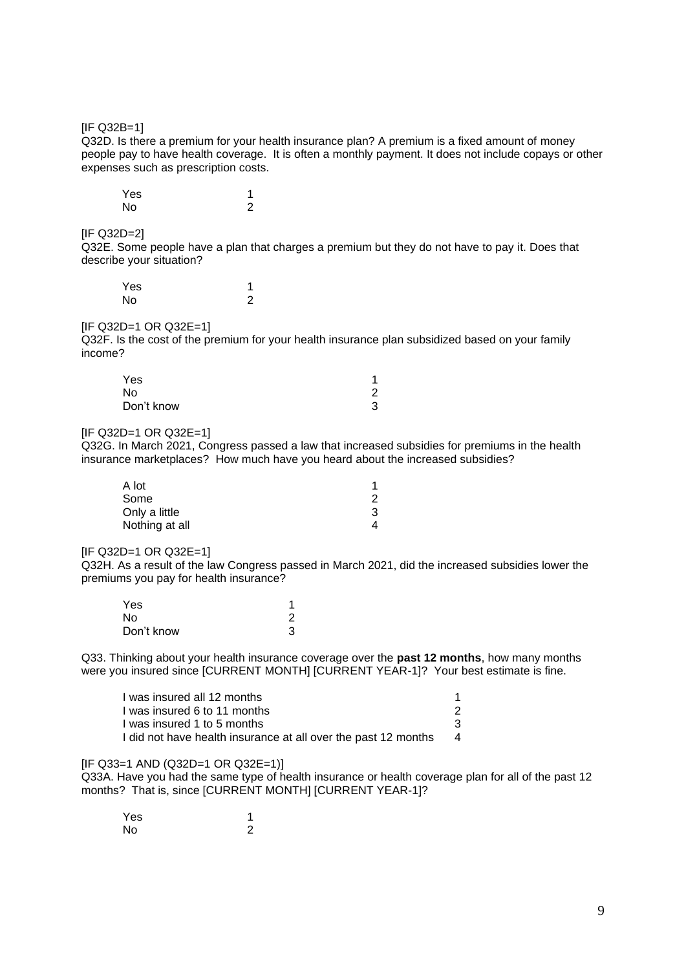[IF Q32B=1]

Q32D. Is there a premium for your health insurance plan? A premium is a fixed amount of money people pay to have health coverage. It is often a monthly payment. It does not include copays or other expenses such as prescription costs.

| Yes |   |
|-----|---|
| No  | っ |

#### $IIF$  Q32D=2]

Q32E. Some people have a plan that charges a premium but they do not have to pay it. Does that describe your situation?

| Yes |   |
|-----|---|
| No  | っ |

#### $IIF$  Q32D=1 OR Q32E=1]

Q32F. Is the cost of the premium for your health insurance plan subsidized based on your family income?

| Yes        | 1 |
|------------|---|
| No         | 2 |
| Don't know | 3 |

#### [IF Q32D=1 OR Q32E=1]

Q32G. In March 2021, Congress passed a law that increased subsidies for premiums in the health insurance marketplaces? How much have you heard about the increased subsidies?

| A lot          |  |
|----------------|--|
| Some           |  |
| Only a little  |  |
| Nothing at all |  |

[IF Q32D=1 OR Q32E=1]

Q32H. As a result of the law Congress passed in March 2021, did the increased subsidies lower the premiums you pay for health insurance?

| Yes        |  |
|------------|--|
| No         |  |
| Don't know |  |

Q33. Thinking about your health insurance coverage over the **past 12 months**, how many months were you insured since [CURRENT MONTH] [CURRENT YEAR-1]? Your best estimate is fine.

| I was insured all 12 months                                    |   |
|----------------------------------------------------------------|---|
| I was insured 6 to 11 months                                   |   |
| I was insured 1 to 5 months                                    |   |
| I did not have health insurance at all over the past 12 months | 4 |

#### [IF Q33=1 AND (Q32D=1 OR Q32E=1)]

Q33A. Have you had the same type of health insurance or health coverage plan for all of the past 12 months? That is, since [CURRENT MONTH] [CURRENT YEAR-1]?

| Yes |   |
|-----|---|
| No  | っ |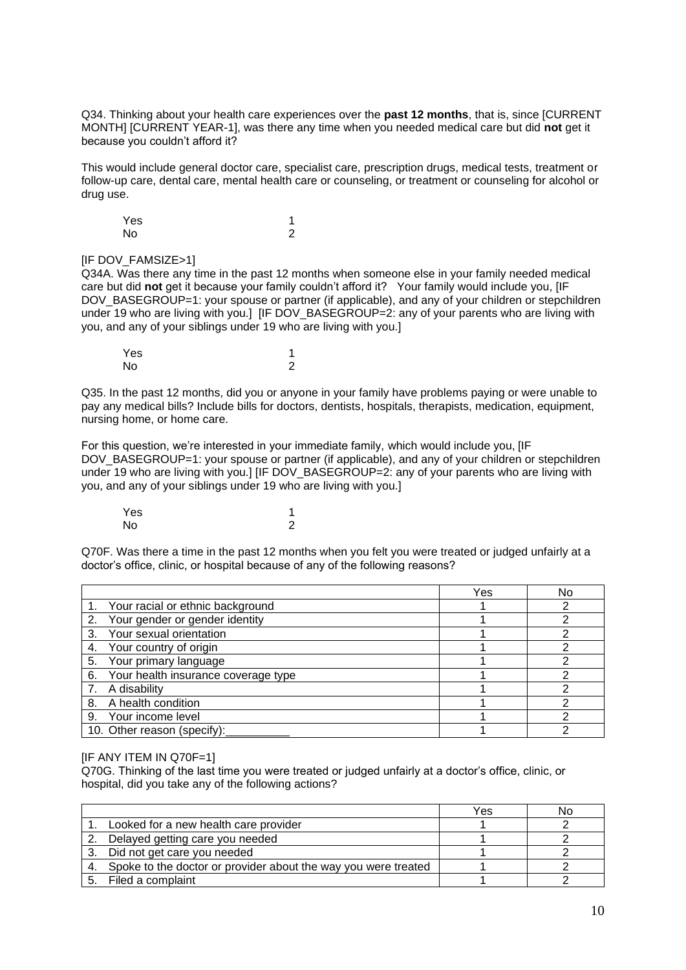Q34. Thinking about your health care experiences over the **past 12 months**, that is, since [CURRENT MONTH] [CURRENT YEAR-1], was there any time when you needed medical care but did **not** get it because you couldn't afford it?

This would include general doctor care, specialist care, prescription drugs, medical tests, treatment or follow-up care, dental care, mental health care or counseling, or treatment or counseling for alcohol or drug use.

Yes 1<br>No 2 No 2

## [IF DOV\_FAMSIZE>1]

Q34A. Was there any time in the past 12 months when someone else in your family needed medical care but did **not** get it because your family couldn't afford it? Your family would include you, [IF DOV\_BASEGROUP=1: your spouse or partner (if applicable), and any of your children or stepchildren under 19 who are living with you.] IIF DOV\_BASEGROUP=2: any of your parents who are living with you, and any of your siblings under 19 who are living with you.]

| Yes |   |
|-----|---|
| No  | າ |

Q35. In the past 12 months, did you or anyone in your family have problems paying or were unable to pay any medical bills? Include bills for doctors, dentists, hospitals, therapists, medication, equipment, nursing home, or home care.

For this question, we're interested in your immediate family, which would include you, [IF DOV\_BASEGROUP=1: your spouse or partner (if applicable), and any of your children or stepchildren under 19 who are living with you.] [IF DOV\_BASEGROUP=2: any of your parents who are living with you, and any of your siblings under 19 who are living with you.]

Yes and the set of the set of the set of the set of the set of the set of the set of the set of the set of the No 2

Q70F. Was there a time in the past 12 months when you felt you were treated or judged unfairly at a doctor's office, clinic, or hospital because of any of the following reasons?

|                                           | Yes | No |
|-------------------------------------------|-----|----|
| 1. Your racial or ethnic background       |     |    |
| Your gender or gender identity<br>2.      |     |    |
| Your sexual orientation<br>3.             |     |    |
| Your country of origin<br>4.              |     |    |
| Your primary language<br>5.               |     |    |
| Your health insurance coverage type<br>6. |     |    |
| A disability                              |     |    |
| 8. A health condition                     |     |    |
| Your income level<br>9.                   |     |    |
| 10. Other reason (specify):               |     |    |

#### [IF ANY ITEM IN Q70F=1]

Q70G. Thinking of the last time you were treated or judged unfairly at a doctor's office, clinic, or hospital, did you take any of the following actions?

|    |                                                                   | Yes | NΩ |
|----|-------------------------------------------------------------------|-----|----|
|    | Looked for a new health care provider                             |     |    |
|    | Delayed getting care you needed                                   |     |    |
| 3. | Did not get care you needed                                       |     |    |
|    | 4. Spoke to the doctor or provider about the way you were treated |     |    |
| Б. | Filed a complaint                                                 |     |    |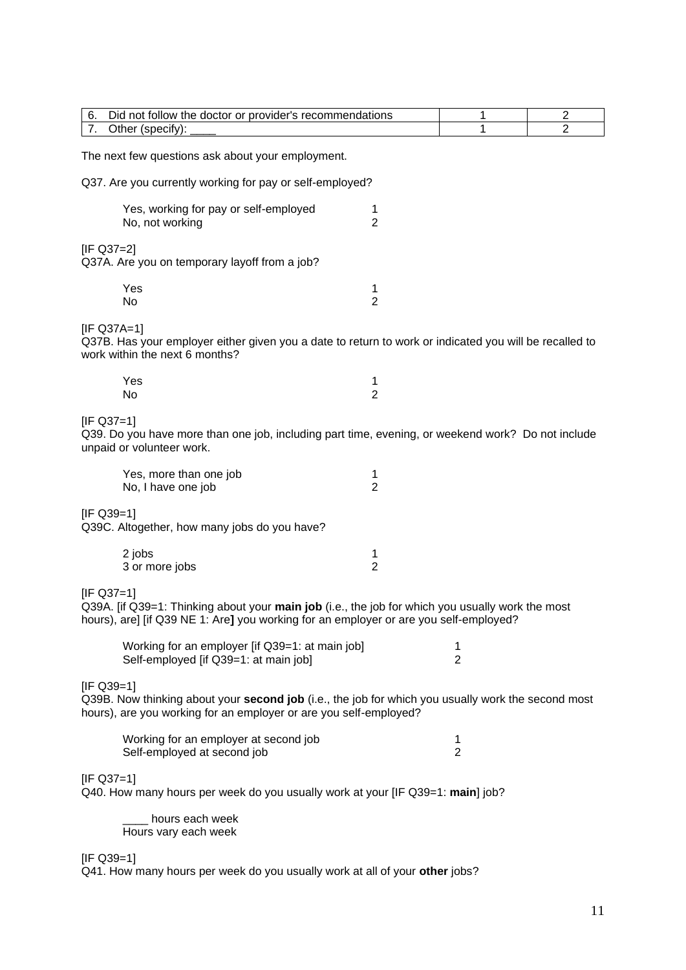| Did not follow the doctor or provider's recommendations<br>6.                                                                                                                                             | 1                                                                              | $\overline{2}$ |  |  |
|-----------------------------------------------------------------------------------------------------------------------------------------------------------------------------------------------------------|--------------------------------------------------------------------------------|----------------|--|--|
| 7.<br>Other (specify):                                                                                                                                                                                    | 1                                                                              | $\overline{2}$ |  |  |
| The next few questions ask about your employment.                                                                                                                                                         |                                                                                |                |  |  |
| Q37. Are you currently working for pay or self-employed?                                                                                                                                                  |                                                                                |                |  |  |
| Yes, working for pay or self-employed<br>1<br>$\overline{2}$<br>No, not working                                                                                                                           |                                                                                |                |  |  |
| $[IF Q37=2]$<br>Q37A. Are you on temporary layoff from a job?                                                                                                                                             |                                                                                |                |  |  |
| Yes<br>1<br>$\overline{2}$<br>No                                                                                                                                                                          |                                                                                |                |  |  |
| [IF Q37A=1]<br>Q37B. Has your employer either given you a date to return to work or indicated you will be recalled to<br>work within the next 6 months?                                                   |                                                                                |                |  |  |
| Yes<br>1<br>$\overline{2}$<br>No                                                                                                                                                                          |                                                                                |                |  |  |
| $[IF Q37=1]$<br>Q39. Do you have more than one job, including part time, evening, or weekend work? Do not include<br>unpaid or volunteer work.                                                            |                                                                                |                |  |  |
| Yes, more than one job<br>1<br>$\overline{2}$<br>No, I have one job                                                                                                                                       |                                                                                |                |  |  |
| $[IF Q39=1]$<br>Q39C. Altogether, how many jobs do you have?                                                                                                                                              |                                                                                |                |  |  |
| 2 jobs<br>1<br>$\overline{2}$<br>3 or more jobs                                                                                                                                                           |                                                                                |                |  |  |
| $[IF Q37=1]$<br>Q39A. [if Q39=1: Thinking about your main job (i.e., the job for which you usually work the most<br>hours), are] [if Q39 NE 1: Are] you working for an employer or are you self-employed? |                                                                                |                |  |  |
| Working for an employer [if Q39=1: at main job]<br>Self-employed [if Q39=1: at main job]                                                                                                                  | 1<br>$\overline{2}$                                                            |                |  |  |
| $[IF Q39=1]$<br>Q39B. Now thinking about your second job (i.e., the job for which you usually work the second most<br>hours), are you working for an employer or are you self-employed?                   |                                                                                |                |  |  |
| Working for an employer at second job<br>Self-employed at second job                                                                                                                                      | 1<br>$\overline{2}$                                                            |                |  |  |
| $[IF Q37=1]$                                                                                                                                                                                              | Q40. How many hours per week do you usually work at your [IF Q39=1: main] job? |                |  |  |
| hours each week<br>Hours vary each week                                                                                                                                                                   |                                                                                |                |  |  |

[IF Q39=1]

Q41. How many hours per week do you usually work at all of your **other** jobs?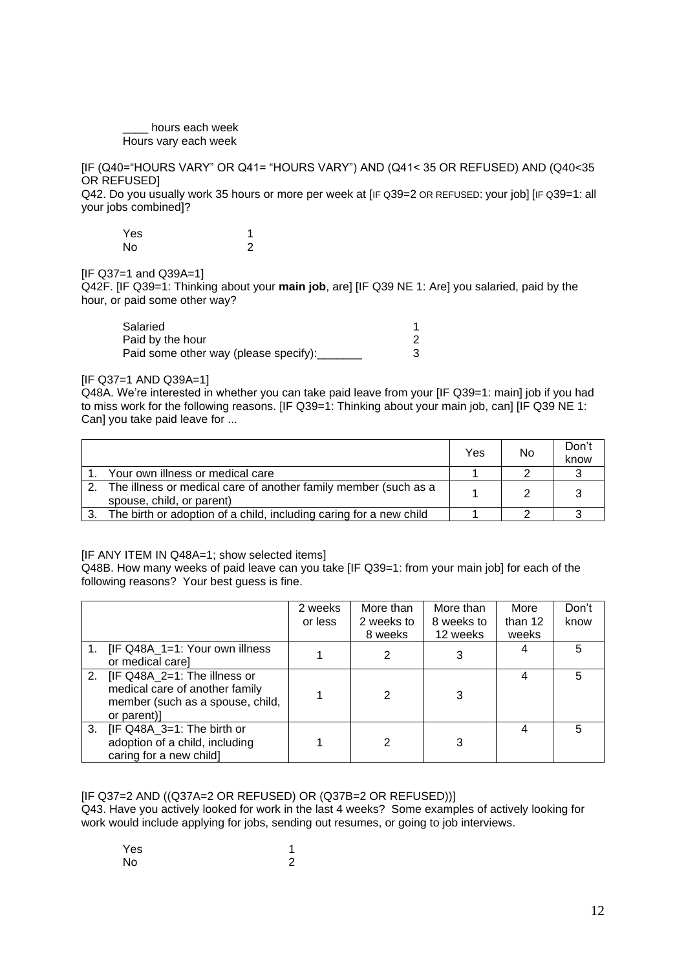#### \_\_\_\_ hours each week Hours vary each week

[IF (Q40="HOURS VARY" OR Q41= "HOURS VARY") AND (Q41< 35 OR REFUSED) AND (Q40<35 OR REFUSED]

Q42. Do you usually work 35 hours or more per week at [IF Q39=2 OR REFUSED: your job] [IF Q39=1: all your jobs combined]?

| Yes |   |
|-----|---|
| No  | 2 |

 $IIF$  Q37=1 and Q39A=11

Q42F. [IF Q39=1: Thinking about your **main job**, are] [IF Q39 NE 1: Are] you salaried, paid by the hour, or paid some other way?

| Salaried                              |  |
|---------------------------------------|--|
| Paid by the hour                      |  |
| Paid some other way (please specify): |  |

## [IF Q37=1 AND Q39A=1]

Q48A. We're interested in whether you can take paid leave from your [IF Q39=1: main] job if you had to miss work for the following reasons. [IF Q39=1: Thinking about your main job, can] [IF Q39 NE 1: Can] you take paid leave for ...

|    |                                                                                              | Yes | No | Don't<br>know |
|----|----------------------------------------------------------------------------------------------|-----|----|---------------|
|    | Your own illness or medical care                                                             |     |    |               |
|    | The illness or medical care of another family member (such as a<br>spouse, child, or parent) |     |    |               |
| 3. | The birth or adoption of a child, including caring for a new child                           |     |    |               |

## [IF ANY ITEM IN Q48A=1; show selected items]

Q48B. How many weeks of paid leave can you take [IF Q39=1: from your main job] for each of the following reasons? Your best guess is fine.

|    |                                                                                                                      | 2 weeks<br>or less | More than<br>2 weeks to<br>8 weeks | More than<br>8 weeks to<br>12 weeks | More<br>than 12<br>weeks | Don't<br>know |
|----|----------------------------------------------------------------------------------------------------------------------|--------------------|------------------------------------|-------------------------------------|--------------------------|---------------|
|    | 1. <b>IF Q48A_1=1: Your own illness</b><br>or medical care]                                                          |                    |                                    | 3                                   |                          | 5             |
|    | 2. [IF Q48A_2=1: The illness or<br>medical care of another family<br>member (such as a spouse, child,<br>or parent)] |                    | 2                                  | 3                                   |                          | 5             |
| 3. | [IF Q48A_3=1: The birth or<br>adoption of a child, including<br>caring for a new child]                              |                    | 2                                  | 3                                   |                          | 5             |

## [IF Q37=2 AND ((Q37A=2 OR REFUSED) OR (Q37B=2 OR REFUSED))]

Q43. Have you actively looked for work in the last 4 weeks? Some examples of actively looking for work would include applying for jobs, sending out resumes, or going to job interviews.

| Yes | 1 |
|-----|---|
| No  | 2 |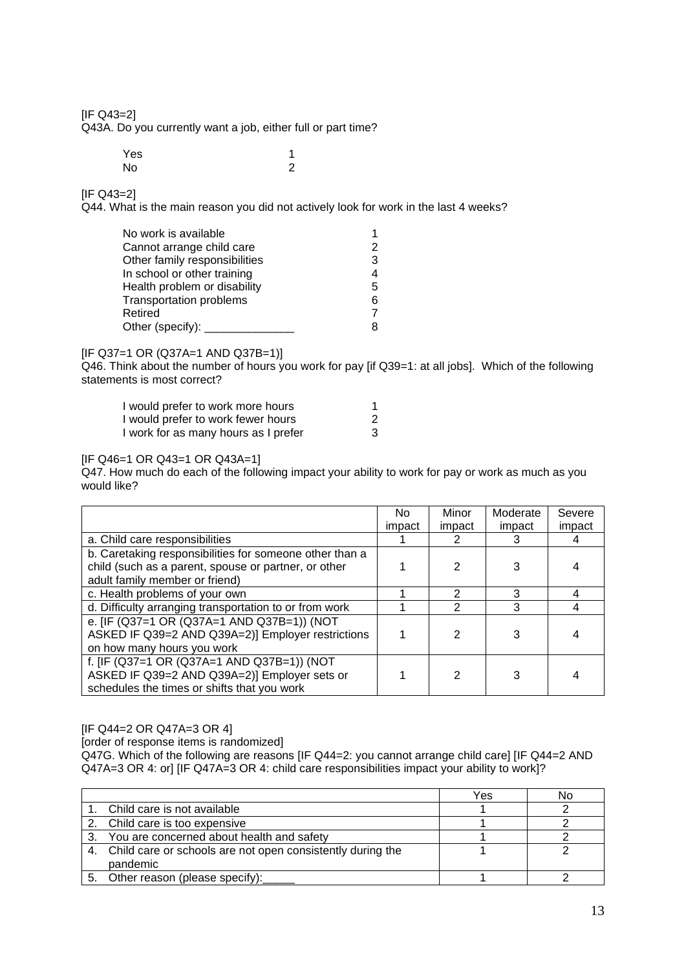[IF Q43=2]

Q43A. Do you currently want a job, either full or part time?

| Yes | 1              |
|-----|----------------|
| No  | $\overline{2}$ |

[IF Q43=2]

Q44. What is the main reason you did not actively look for work in the last 4 weeks?

| No work is available           |   |
|--------------------------------|---|
| Cannot arrange child care      |   |
| Other family responsibilities  | 3 |
| In school or other training    |   |
| Health problem or disability   | 5 |
| <b>Transportation problems</b> | 6 |
| Retired                        |   |
| Other (specify):               |   |
|                                |   |

## [IF Q37=1 OR (Q37A=1 AND Q37B=1)]

Q46. Think about the number of hours you work for pay [if Q39=1: at all jobs]. Which of the following statements is most correct?

| I would prefer to work more hours    |   |
|--------------------------------------|---|
| I would prefer to work fewer hours   |   |
| I work for as many hours as I prefer | 3 |

#### [IF Q46=1 OR Q43=1 OR Q43A=1]

Q47. How much do each of the following impact your ability to work for pay or work as much as you would like?

|                                                         | No.    | Minor  | Moderate | Severe |
|---------------------------------------------------------|--------|--------|----------|--------|
|                                                         | impact | impact | impact   | impact |
| a. Child care responsibilities                          |        | 2      | 3        | 4      |
| b. Caretaking responsibilities for someone other than a |        |        |          |        |
| child (such as a parent, spouse or partner, or other    |        | 2      | 3        |        |
| adult family member or friend)                          |        |        |          |        |
| c. Health problems of your own                          |        | 2      | 3        |        |
| d. Difficulty arranging transportation to or from work  |        | 2      | 3        | 4      |
| e. [IF (Q37=1 OR (Q37A=1 AND Q37B=1)) (NOT              |        |        |          |        |
| ASKED IF Q39=2 AND Q39A=2)] Employer restrictions       |        | 2      | 3        |        |
| on how many hours you work                              |        |        |          |        |
| f. [IF (Q37=1 OR (Q37A=1 AND Q37B=1)) (NOT              |        |        |          |        |
| ASKED IF Q39=2 AND Q39A=2)] Employer sets or            |        | 2      | 3        |        |
| schedules the times or shifts that you work             |        |        |          |        |

[IF Q44=2 OR Q47A=3 OR 4]

[order of response items is randomized]

Q47G. Which of the following are reasons [IF Q44=2: you cannot arrange child care] [IF Q44=2 AND Q47A=3 OR 4: or] [IF Q47A=3 OR 4: child care responsibilities impact your ability to work]?

|                                                               | Yes | No |
|---------------------------------------------------------------|-----|----|
| 1. Child care is not available                                |     |    |
| 2. Child care is too expensive                                |     |    |
| 3. You are concerned about health and safety                  |     |    |
| 4. Child care or schools are not open consistently during the |     |    |
| pandemic                                                      |     |    |
| Other reason (please specify):                                |     |    |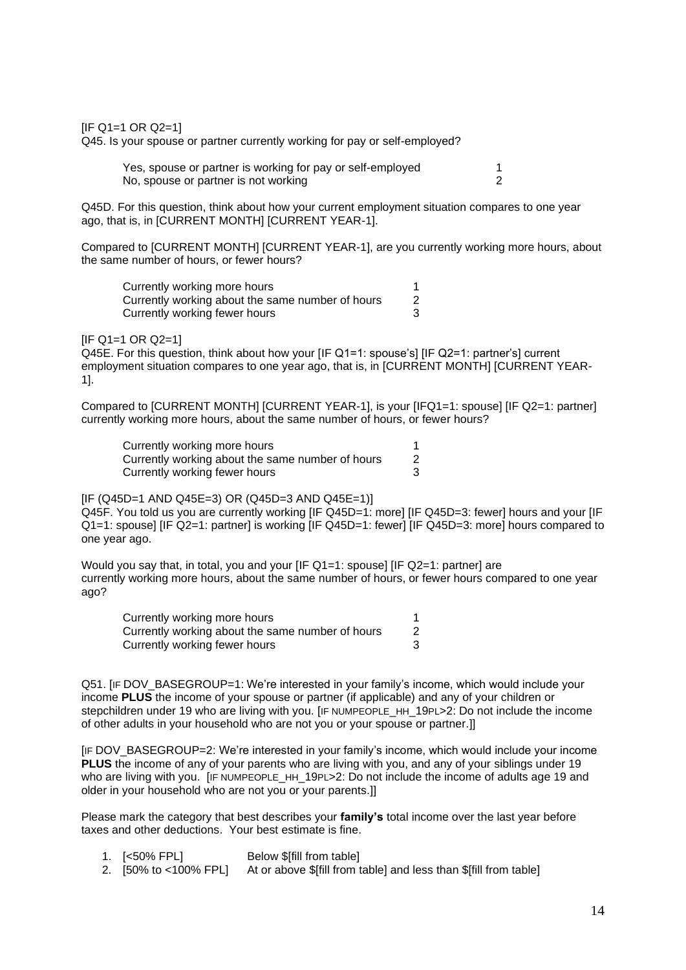$[IF Q1=1 OR Q2=1]$ 

Q45. Is your spouse or partner currently working for pay or self-employed?

| Yes, spouse or partner is working for pay or self-employed |  |
|------------------------------------------------------------|--|
| No, spouse or partner is not working                       |  |

Q45D. For this question, think about how your current employment situation compares to one year ago, that is, in [CURRENT MONTH] [CURRENT YEAR-1].

Compared to [CURRENT MONTH] [CURRENT YEAR-1], are you currently working more hours, about the same number of hours, or fewer hours?

| Currently working more hours                     |  |
|--------------------------------------------------|--|
| Currently working about the same number of hours |  |
| Currently working fewer hours                    |  |

#### $[IF Q1=1 OR Q2=1]$

Q45E. For this question, think about how your [IF Q1=1: spouse's] [IF Q2=1: partner's] current employment situation compares to one year ago, that is, in [CURRENT MONTH] [CURRENT YEAR-1].

Compared to [CURRENT MONTH] [CURRENT YEAR-1], is your [IFQ1=1: spouse] [IF Q2=1: partner] currently working more hours, about the same number of hours, or fewer hours?

| Currently working more hours                     |  |
|--------------------------------------------------|--|
| Currently working about the same number of hours |  |
| Currently working fewer hours                    |  |

## $[IF (Q45D=1 AND Q45E=3) OR (Q45D=3 AND Q45E=1)]$

Q45F. You told us you are currently working [IF Q45D=1: more] [IF Q45D=3: fewer] hours and your [IF Q1=1: spouse] [IF Q2=1: partner] is working [IF Q45D=1: fewer] [IF Q45D=3: more] hours compared to one year ago.

Would you say that, in total, you and your [IF Q1=1: spouse] [IF Q2=1: partner] are currently working more hours, about the same number of hours, or fewer hours compared to one year ago?

| Currently working more hours                     |  |
|--------------------------------------------------|--|
| Currently working about the same number of hours |  |
| Currently working fewer hours                    |  |

Q51. [IF DOV\_BASEGROUP=1: We're interested in your family's income, which would include your income **PLUS** the income of your spouse or partner (if applicable) and any of your children or stepchildren under 19 who are living with you. [IF NUMPEOPLE\_HH\_19PL>2: Do not include the income of other adults in your household who are not you or your spouse or partner.]]

[IF DOV\_BASEGROUP=2: We're interested in your family's income, which would include your income **PLUS** the income of any of your parents who are living with you, and any of your siblings under 19 who are living with you. [IF NUMPEOPLE HH 19PL>2: Do not include the income of adults age 19 and older in your household who are not you or your parents.]]

Please mark the category that best describes your **family's** total income over the last year before taxes and other deductions. Your best estimate is fine.

- 1. [<50% FPL] Below \$[fill from table]
- 2. [50% to <100% FPL] At or above \$[fill from table] and less than \$[fill from table]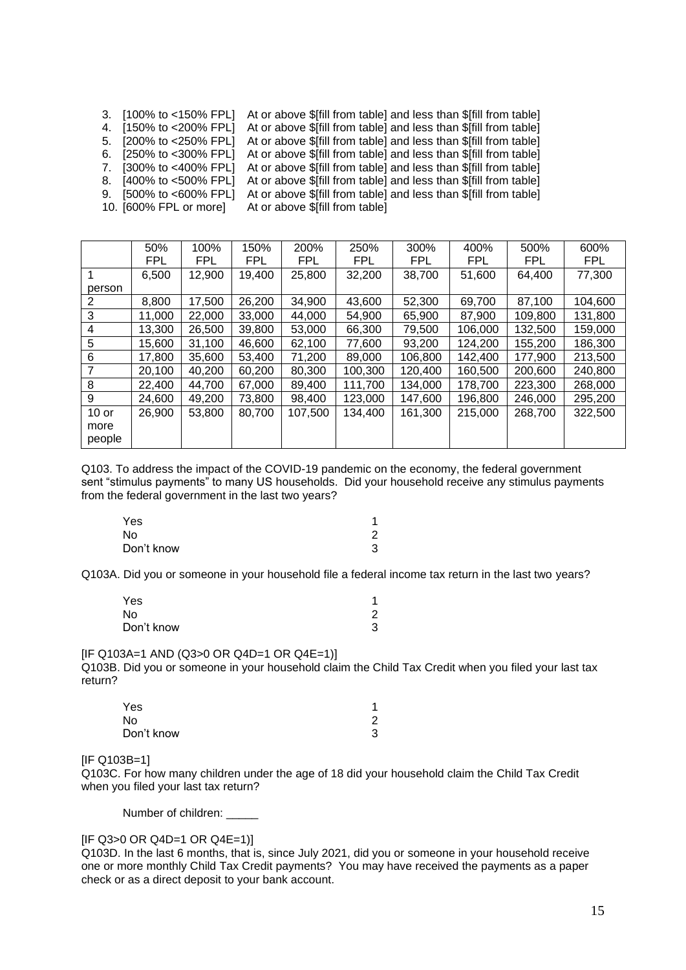| 7. [300% to <400% FPL] At or above \$[fill from table] and less than \$[fill from table]<br>At or above \$[fill from table] and less than \$[fill from table]<br>8. [400% to <500% FPL]<br>At or above \$[fill from table] and less than \$[fill from table]<br>9. $[500\% \text{ to } <000\% \text{ FPL}]$<br>10. [600% FPL or more]<br>At or above \$[fill from table] | 3. [100% to <150% FPL] At or above \$[fill from table] and less than \$[fill from table]<br>4. [150% to <200% FPL] At or above \$[fill from table] and less than \$[fill from table]<br>5. [200% to <250% FPL] At or above \$[fill from table] and less than \$[fill from table]<br>6. [250% to <300% FPL] At or above \$[fill from table] and less than \$[fill from table] |
|--------------------------------------------------------------------------------------------------------------------------------------------------------------------------------------------------------------------------------------------------------------------------------------------------------------------------------------------------------------------------|------------------------------------------------------------------------------------------------------------------------------------------------------------------------------------------------------------------------------------------------------------------------------------------------------------------------------------------------------------------------------|
|--------------------------------------------------------------------------------------------------------------------------------------------------------------------------------------------------------------------------------------------------------------------------------------------------------------------------------------------------------------------------|------------------------------------------------------------------------------------------------------------------------------------------------------------------------------------------------------------------------------------------------------------------------------------------------------------------------------------------------------------------------------|

|                | 50%        | 100%   | 150%       | 200%       | 250%       | 300%       | 400%       | 500%    | 600%       |
|----------------|------------|--------|------------|------------|------------|------------|------------|---------|------------|
|                | <b>FPL</b> | FPL.   | <b>FPL</b> | <b>FPL</b> | <b>FPL</b> | <b>FPL</b> | <b>FPL</b> | FPL     | <b>FPL</b> |
|                | 6,500      | 12,900 | 19,400     | 25,800     | 32,200     | 38,700     | 51,600     | 64,400  | 77,300     |
| person         |            |        |            |            |            |            |            |         |            |
| 2              | 8,800      | 17,500 | 26,200     | 34,900     | 43,600     | 52,300     | 69,700     | 87,100  | 104,600    |
| 3              | 11,000     | 22,000 | 33,000     | 44,000     | 54,900     | 65,900     | 87,900     | 109,800 | 131,800    |
| 4              | 13,300     | 26,500 | 39,800     | 53,000     | 66,300     | 79,500     | 106,000    | 132,500 | 159,000    |
| 5              | 15,600     | 31,100 | 46,600     | 62,100     | 77,600     | 93,200     | 124,200    | 155,200 | 186,300    |
| 6              | 17,800     | 35,600 | 53,400     | 71,200     | 89,000     | 106,800    | 142,400    | 177,900 | 213,500    |
| $\overline{7}$ | 20,100     | 40,200 | 60,200     | 80,300     | 100,300    | 120,400    | 160,500    | 200,600 | 240,800    |
| 8              | 22,400     | 44,700 | 67,000     | 89,400     | 111,700    | 134,000    | 178,700    | 223,300 | 268,000    |
| 9              | 24,600     | 49,200 | 73,800     | 98,400     | 123,000    | 147,600    | 196,800    | 246,000 | 295,200    |
| $10$ or        | 26,900     | 53,800 | 80,700     | 107,500    | 134,400    | 161,300    | 215,000    | 268,700 | 322,500    |
| more<br>people |            |        |            |            |            |            |            |         |            |
|                |            |        |            |            |            |            |            |         |            |

Q103. To address the impact of the COVID-19 pandemic on the economy, the federal government sent "stimulus payments" to many US households. Did your household receive any stimulus payments from the federal government in the last two years?

| Yes        |   |
|------------|---|
| No         | 2 |
| Don't know | 3 |

Q103A. Did you or someone in your household file a federal income tax return in the last two years?

| Yes        |   |
|------------|---|
| No         | 2 |
| Don't know | 3 |

[IF Q103A=1 AND (Q3>0 OR Q4D=1 OR Q4E=1)]

Q103B. Did you or someone in your household claim the Child Tax Credit when you filed your last tax return?

| Yes        |   |
|------------|---|
| No         | ⌒ |
| Don't know | 3 |

[IF Q103B=1]

Q103C. For how many children under the age of 18 did your household claim the Child Tax Credit when you filed your last tax return?

Number of children:

[IF Q3>0 OR Q4D=1 OR Q4E=1)]

Q103D. In the last 6 months, that is, since July 2021, did you or someone in your household receive one or more monthly Child Tax Credit payments? You may have received the payments as a paper check or as a direct deposit to your bank account.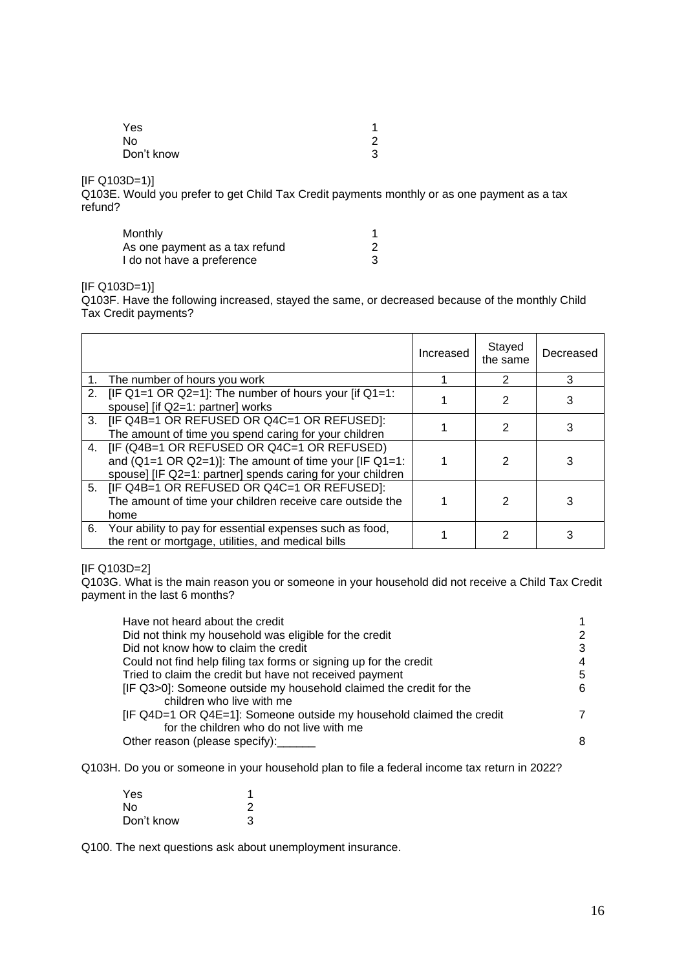| Yes        |   |
|------------|---|
| No         | ົ |
| Don't know | 3 |

[IF Q103D=1)]

Q103E. Would you prefer to get Child Tax Credit payments monthly or as one payment as a tax refund?

| Monthly                        |  |
|--------------------------------|--|
| As one payment as a tax refund |  |
| I do not have a preference     |  |

 $[IF Q103D=1]$ 

Q103F. Have the following increased, stayed the same, or decreased because of the monthly Child Tax Credit payments?

|                |                                                                                                                                                                                      | Increased | Stayed<br>the same | Decreased |
|----------------|--------------------------------------------------------------------------------------------------------------------------------------------------------------------------------------|-----------|--------------------|-----------|
|                | The number of hours you work                                                                                                                                                         |           | 2                  | 3         |
|                | 2. [IF Q1=1 OR Q2=1]: The number of hours your [if Q1=1:<br>spouse] [if Q2=1: partner] works                                                                                         |           | $\mathfrak{p}$     |           |
| 3 <sub>1</sub> | [IF Q4B=1 OR REFUSED OR Q4C=1 OR REFUSED]:<br>The amount of time you spend caring for your children                                                                                  |           | 2                  |           |
|                | 4. [IF (Q4B=1 OR REFUSED OR Q4C=1 OR REFUSED)<br>and $(Q1=1 \text{ OR } Q2=1)$ ]: The amount of time your [IF $Q1=1$ :<br>spouse] [IF Q2=1: partner] spends caring for your children |           | 2                  |           |
|                | 5. [IF Q4B=1 OR REFUSED OR Q4C=1 OR REFUSED]:<br>The amount of time your children receive care outside the<br>home                                                                   |           | 2                  |           |
|                | 6. Your ability to pay for essential expenses such as food,<br>the rent or mortgage, utilities, and medical bills                                                                    |           | 2                  |           |

#### [IF Q103D=2]

Q103G. What is the main reason you or someone in your household did not receive a Child Tax Credit payment in the last 6 months?

| Have not heard about the credit                                                                                  |   |
|------------------------------------------------------------------------------------------------------------------|---|
| Did not think my household was eligible for the credit                                                           |   |
| Did not know how to claim the credit                                                                             | 3 |
| Could not find help filing tax forms or signing up for the credit                                                | 4 |
| Tried to claim the credit but have not received payment                                                          | 5 |
| [IF Q3>0]: Someone outside my household claimed the credit for the<br>children who live with me                  | 6 |
| [IF Q4D=1 OR Q4E=1]: Someone outside my household claimed the credit<br>for the children who do not live with me |   |
| Other reason (please specify):                                                                                   | 8 |

Q103H. Do you or someone in your household plan to file a federal income tax return in 2022?

| Yes        |   |
|------------|---|
| No.        |   |
| Don't know | 3 |

Q100. The next questions ask about unemployment insurance.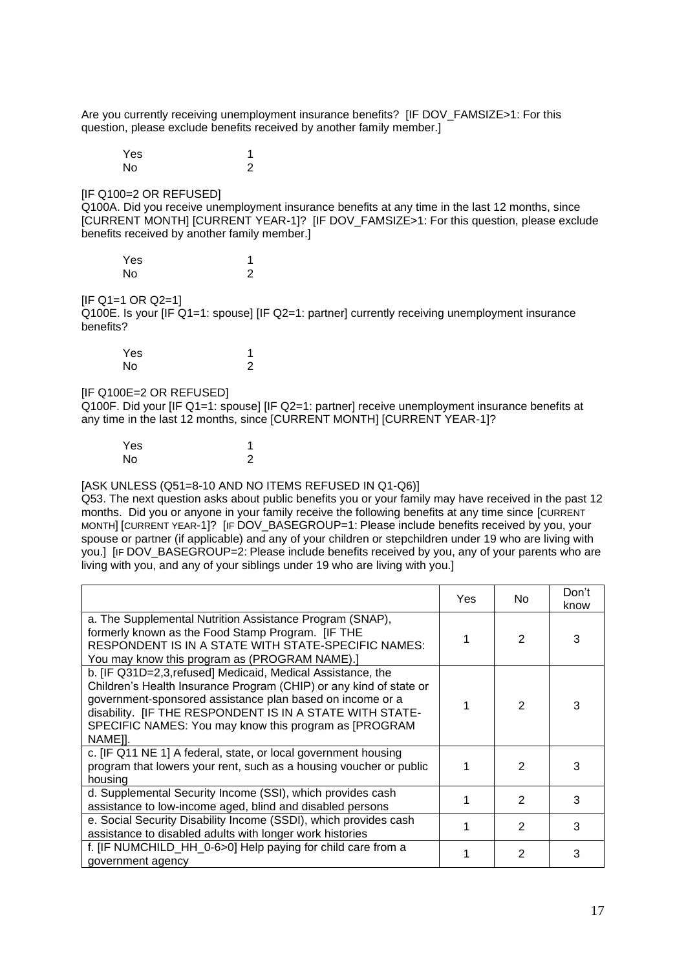Are you currently receiving unemployment insurance benefits? [IF DOV\_FAMSIZE>1: For this question, please exclude benefits received by another family member.]

Yes 1 No 2

**IIF Q100=2 OR REFUSEDI** 

Q100A. Did you receive unemployment insurance benefits at any time in the last 12 months, since [CURRENT MONTH] [CURRENT YEAR-1]? [IF DOV\_FAMSIZE>1: For this question, please exclude benefits received by another family member.]

| Yes |   |
|-----|---|
| No  | 2 |

### $[IF Q1=1 OR Q2=1]$

Q100E. Is your [IF Q1=1: spouse] [IF Q2=1: partner] currently receiving unemployment insurance benefits?

| Yes       |   |
|-----------|---|
| <b>No</b> | 2 |

#### [IF Q100E=2 OR REFUSED]

Q100F. Did your [IF Q1=1: spouse] [IF Q2=1: partner] receive unemployment insurance benefits at any time in the last 12 months, since [CURRENT MONTH] [CURRENT YEAR-1]?

| Yes | 4 |
|-----|---|
| No  | 2 |

#### [ASK UNLESS (Q51=8-10 AND NO ITEMS REFUSED IN Q1-Q6)]

Q53. The next question asks about public benefits you or your family may have received in the past 12 months. Did you or anyone in your family receive the following benefits at any time since [CURRENT MONTH] [CURRENT YEAR-1]? [IF DOV\_BASEGROUP=1: Please include benefits received by you, your spouse or partner (if applicable) and any of your children or stepchildren under 19 who are living with you.] [IF DOV\_BASEGROUP=2: Please include benefits received by you, any of your parents who are living with you, and any of your siblings under 19 who are living with you.]

|                                                                                                                                                                                                                                                                                                                                | Yes | No.           | Don't<br>know |
|--------------------------------------------------------------------------------------------------------------------------------------------------------------------------------------------------------------------------------------------------------------------------------------------------------------------------------|-----|---------------|---------------|
| a. The Supplemental Nutrition Assistance Program (SNAP),<br>formerly known as the Food Stamp Program. [IF THE<br>RESPONDENT IS IN A STATE WITH STATE-SPECIFIC NAMES:<br>You may know this program as (PROGRAM NAME).]                                                                                                          |     | $\mathcal{P}$ | 3             |
| b. [IF Q31D=2,3, refused] Medicaid, Medical Assistance, the<br>Children's Health Insurance Program (CHIP) or any kind of state or<br>government-sponsored assistance plan based on income or a<br>disability. [IF THE RESPONDENT IS IN A STATE WITH STATE-<br>SPECIFIC NAMES: You may know this program as [PROGRAM<br>NAME]]. |     | $\mathcal{P}$ | 3             |
| c. [IF Q11 NE 1] A federal, state, or local government housing<br>program that lowers your rent, such as a housing voucher or public<br>housing                                                                                                                                                                                |     | 2             | 3             |
| d. Supplemental Security Income (SSI), which provides cash<br>assistance to low-income aged, blind and disabled persons                                                                                                                                                                                                        |     | 2             | 3             |
| e. Social Security Disability Income (SSDI), which provides cash<br>assistance to disabled adults with longer work histories                                                                                                                                                                                                   |     | 2             | 3             |
| f. [IF NUMCHILD_HH_0-6>0] Help paying for child care from a<br>government agency                                                                                                                                                                                                                                               |     | 2             | 3             |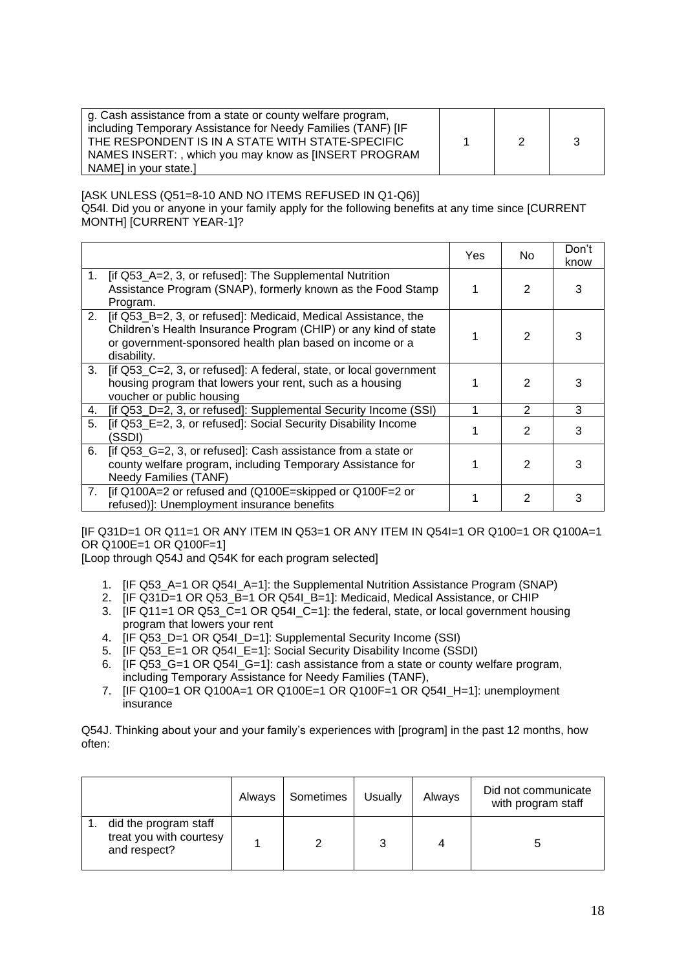| g. Cash assistance from a state or county welfare program,<br>including Temporary Assistance for Needy Families (TANF) [IF<br>THE RESPONDENT IS IN A STATE WITH STATE-SPECIFIC<br>NAMES INSERT: , which you may know as [INSERT PROGRAM |  |  |
|-----------------------------------------------------------------------------------------------------------------------------------------------------------------------------------------------------------------------------------------|--|--|
| NAMEI in your state.                                                                                                                                                                                                                    |  |  |

[ASK UNLESS (Q51=8-10 AND NO ITEMS REFUSED IN Q1-Q6)] Q54l. Did you or anyone in your family apply for the following benefits at any time since [CURRENT MONTH] [CURRENT YEAR-1]?

|                |                                                                                                                                                                                                              | Yes. | No.           | Don't<br>know |
|----------------|--------------------------------------------------------------------------------------------------------------------------------------------------------------------------------------------------------------|------|---------------|---------------|
| 1.             | [if Q53_A=2, 3, or refused]: The Supplemental Nutrition<br>Assistance Program (SNAP), formerly known as the Food Stamp<br>Program.                                                                           |      | $\mathcal{P}$ |               |
| 2.             | [if Q53_B=2, 3, or refused]: Medicaid, Medical Assistance, the<br>Children's Health Insurance Program (CHIP) or any kind of state<br>or government-sponsored health plan based on income or a<br>disability. |      | $\mathcal{P}$ |               |
| 3 <sub>1</sub> | [if Q53_C=2, 3, or refused]: A federal, state, or local government<br>housing program that lowers your rent, such as a housing<br>voucher or public housing                                                  |      | $\mathcal{P}$ |               |
| 4.             | [if Q53_D=2, 3, or refused]: Supplemental Security Income (SSI)                                                                                                                                              |      | 2             | 3             |
| 5.             | [if Q53_E=2, 3, or refused]: Social Security Disability Income<br>'SSDI)                                                                                                                                     |      | 2             | 3             |
| 6.             | [if Q53_G=2, 3, or refused]: Cash assistance from a state or<br>county welfare program, including Temporary Assistance for<br><b>Needy Families (TANF)</b>                                                   |      | 2             | 3             |
| 7.             | [if Q100A=2 or refused and (Q100E=skipped or Q100F=2 or<br>refused)]: Unemployment insurance benefits                                                                                                        |      | 2             |               |

[IF Q31D=1 OR Q11=1 OR ANY ITEM IN Q53=1 OR ANY ITEM IN Q54I=1 OR Q100=1 OR Q100A=1 OR Q100E=1 OR Q100F=1]

[Loop through Q54J and Q54K for each program selected]

- 1. [IF Q53\_A=1 OR Q54I\_A=1]: the Supplemental Nutrition Assistance Program (SNAP)
- 2. **[IF Q31D=1 OR Q53 B=1 OR Q54I** B=1]: Medicaid, Medical Assistance, or CHIP
- 3. [IF Q11=1 OR Q53\_C=1 OR Q54I\_C=1]: the federal, state, or local government housing program that lowers your rent
- 4. **IF Q53\_D=1 OR Q54I\_D=1]: Supplemental Security Income (SSI)**
- 5. [IF Q53\_E=1 OR Q54I\_E=1]: Social Security Disability Income (SSDI)
- 6. [IF Q53\_G=1 OR Q54I\_G=1]: cash assistance from a state or county welfare program, including Temporary Assistance for Needy Families (TANF),
- 7. **[IF Q100**=1 OR Q100A=1 OR Q100E=1 OR Q100F=1 OR Q54I\_H=1]: unemployment insurance

Q54J. Thinking about your and your family's experiences with [program] in the past 12 months, how often:

|                                                                  | Always | Sometimes | <b>Usually</b> | Always | Did not communicate<br>with program staff |
|------------------------------------------------------------------|--------|-----------|----------------|--------|-------------------------------------------|
| did the program staff<br>treat you with courtesy<br>and respect? |        |           |                |        |                                           |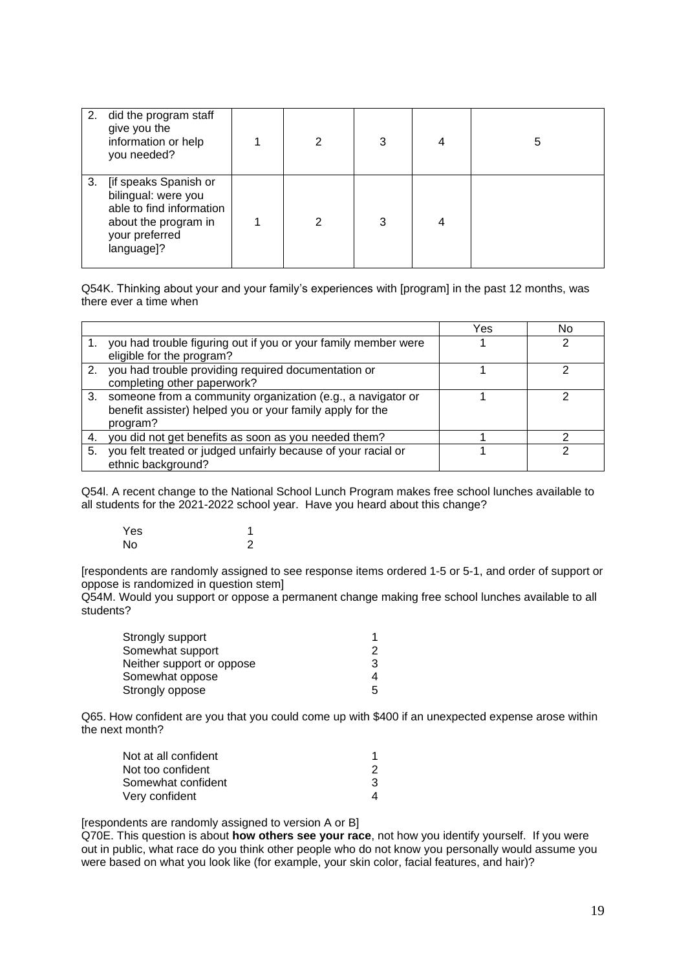| 2. | did the program staff<br>give you the<br>information or help<br>you needed?                                                      | 2 | 3 | 4 | 5 |
|----|----------------------------------------------------------------------------------------------------------------------------------|---|---|---|---|
| 3. | [if speaks Spanish or<br>bilingual: were you<br>able to find information<br>about the program in<br>your preferred<br>language]? | 2 | 3 |   |   |

Q54K. Thinking about your and your family's experiences with [program] in the past 12 months, was there ever a time when

|    |                                                                                                                                         | Yes | N٥ |
|----|-----------------------------------------------------------------------------------------------------------------------------------------|-----|----|
|    | 1. you had trouble figuring out if you or your family member were<br>eligible for the program?                                          |     |    |
| 2. | you had trouble providing required documentation or<br>completing other paperwork?                                                      |     |    |
|    | 3. someone from a community organization (e.g., a navigator or<br>benefit assister) helped you or your family apply for the<br>program? |     |    |
| 4. | you did not get benefits as soon as you needed them?                                                                                    |     |    |
| 5. | you felt treated or judged unfairly because of your racial or<br>ethnic background?                                                     |     |    |

Q54l. A recent change to the National School Lunch Program makes free school lunches available to all students for the 2021-2022 school year. Have you heard about this change?

| Yes |  |
|-----|--|
| No  |  |

[respondents are randomly assigned to see response items ordered 1-5 or 5-1, and order of support or oppose is randomized in question stem]

Q54M. Would you support or oppose a permanent change making free school lunches available to all students?

| Strongly support          |   |
|---------------------------|---|
| Somewhat support          | 2 |
| Neither support or oppose | 3 |
| Somewhat oppose           | 4 |
| Strongly oppose           | 5 |

Q65. How confident are you that you could come up with \$400 if an unexpected expense arose within the next month?

| Not at all confident |   |
|----------------------|---|
| Not too confident    |   |
| Somewhat confident   | з |
| Very confident       |   |

[respondents are randomly assigned to version A or B]

Q70E. This question is about **how others see your race**, not how you identify yourself. If you were out in public, what race do you think other people who do not know you personally would assume you were based on what you look like (for example, your skin color, facial features, and hair)?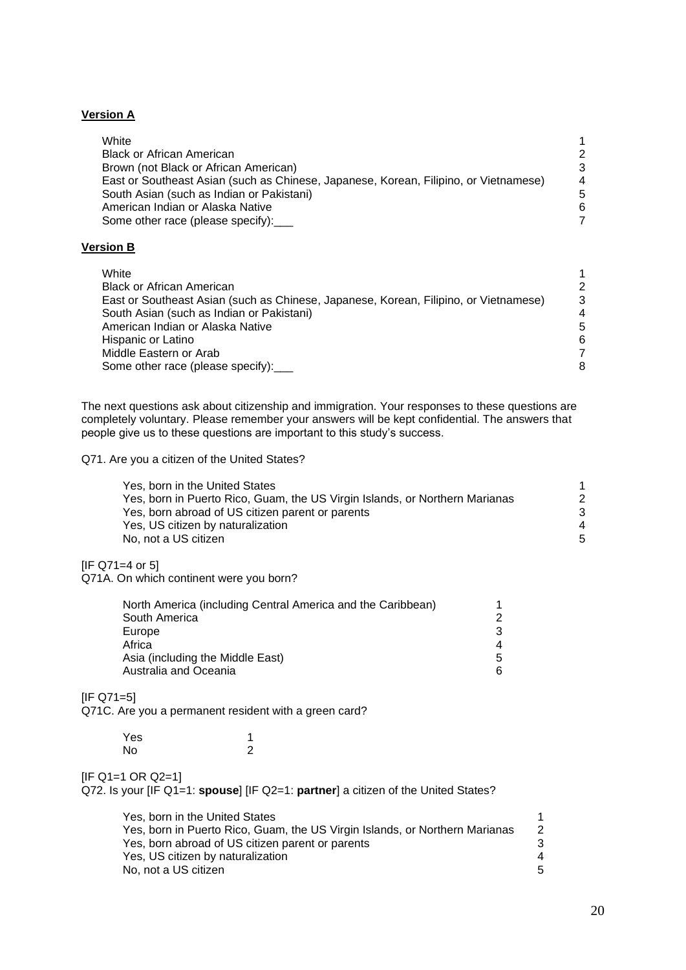## **Version A**

| White                                                                                |   |
|--------------------------------------------------------------------------------------|---|
|                                                                                      |   |
| <b>Black or African American</b>                                                     | 2 |
| Brown (not Black or African American)                                                | 3 |
| East or Southeast Asian (such as Chinese, Japanese, Korean, Filipino, or Vietnamese) | 4 |
| South Asian (such as Indian or Pakistani)                                            | 5 |
| American Indian or Alaska Native                                                     | 6 |
| Some other race (please specify):                                                    |   |

## **Version B**

| White                                                                                |   |
|--------------------------------------------------------------------------------------|---|
| <b>Black or African American</b>                                                     | 2 |
| East or Southeast Asian (such as Chinese, Japanese, Korean, Filipino, or Vietnamese) | 3 |
| South Asian (such as Indian or Pakistani)                                            | 4 |
| American Indian or Alaska Native                                                     | 5 |
| Hispanic or Latino                                                                   | 6 |
| Middle Eastern or Arab                                                               |   |
| Some other race (please specify):                                                    | 8 |

The next questions ask about citizenship and immigration. Your responses to these questions are completely voluntary. Please remember your answers will be kept confidential. The answers that people give us to these questions are important to this study's success.

#### Q71. Are you a citizen of the United States?

| Yes, born in the United States                                              |   |
|-----------------------------------------------------------------------------|---|
| Yes, born in Puerto Rico, Guam, the US Virgin Islands, or Northern Marianas | 2 |
| Yes, born abroad of US citizen parent or parents                            | 3 |
| Yes, US citizen by naturalization                                           | Δ |
| No, not a US citizen                                                        | 5 |
|                                                                             |   |

 $[IF Q71=4 or 5]$ 

Q71A. On which continent were you born?

| North America (including Central America and the Caribbean) |   |
|-------------------------------------------------------------|---|
| South America                                               | 2 |
| Europe                                                      | 3 |
| Africa                                                      | 4 |
| Asia (including the Middle East)                            | 5 |
| Australia and Oceania                                       | 6 |
|                                                             |   |

[IF Q71=5]

Q71C. Are you a permanent resident with a green card?

| Yes | 4 |
|-----|---|
| No  | 2 |

## $[IF Q1=1 OR Q2=1]$

Q72. Is your [IF Q1=1: **spouse**] [IF Q2=1: **partner**] a citizen of the United States?

| Yes. born in the United States                                              |   |
|-----------------------------------------------------------------------------|---|
| Yes, born in Puerto Rico, Guam, the US Virgin Islands, or Northern Marianas | 2 |
| Yes, born abroad of US citizen parent or parents                            | 3 |
| Yes, US citizen by naturalization                                           | Δ |
| No. not a US citizen                                                        | 5 |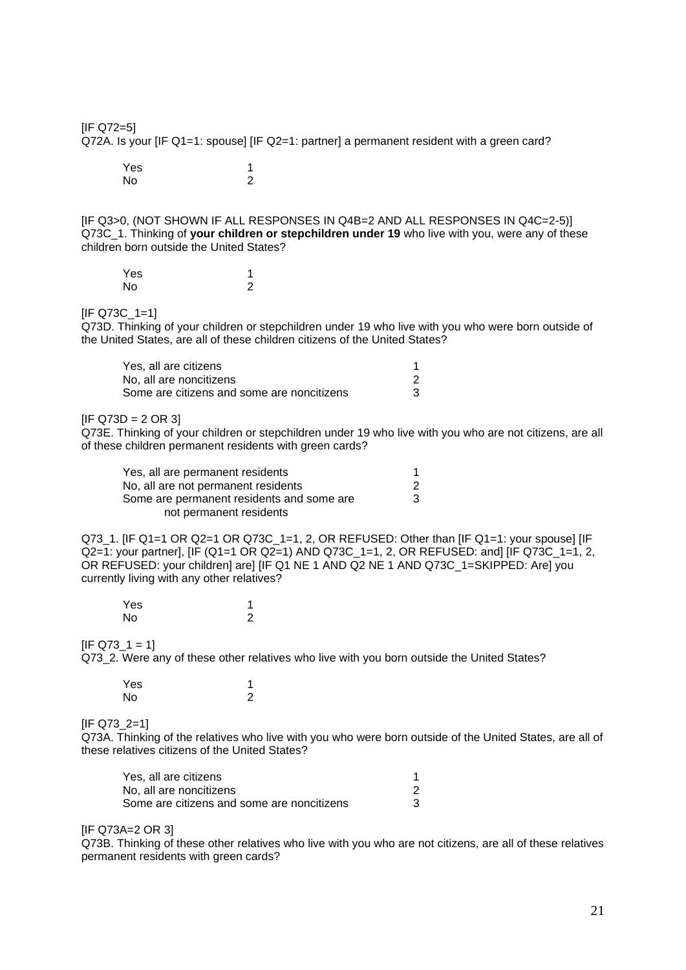[IF Q72=5] Q72A. Is your [IF Q1=1: spouse] [IF Q2=1: partner] a permanent resident with a green card? Yes and the set of the set of the set of the set of the set of the set of the set of the set of the set of the

[IF Q3>0, (NOT SHOWN IF ALL RESPONSES IN Q4B=2 AND ALL RESPONSES IN Q4C=2-5)] Q73C\_1. Thinking of **your children or stepchildren under 19** who live with you, were any of these children born outside the United States?

| Yes |   |
|-----|---|
| No  | っ |

No 2

#### [IF Q73C\_1=1]

Q73D. Thinking of your children or stepchildren under 19 who live with you who were born outside of the United States, are all of these children citizens of the United States?

| Yes, all are citizens                      |  |
|--------------------------------------------|--|
| No. all are noncitizens                    |  |
| Some are citizens and some are noncitizens |  |

#### $[IF Q73D = 2 OR 3]$

Q73E. Thinking of your children or stepchildren under 19 who live with you who are not citizens, are all of these children permanent residents with green cards?

| Yes, all are permanent residents          |   |
|-------------------------------------------|---|
| No, all are not permanent residents       | 2 |
| Some are permanent residents and some are | 3 |
| not permanent residents                   |   |

Q73\_1. [IF Q1=1 OR Q2=1 OR Q73C\_1=1, 2, OR REFUSED: Other than [IF Q1=1: your spouse] [IF Q2=1: your partner], [IF (Q1=1 OR Q2=1) AND Q73C\_1=1, 2, OR REFUSED: and] [IF Q73C\_1=1, 2, OR REFUSED: your children] are] [IF Q1 NE 1 AND Q2 NE 1 AND Q73C\_1=SKIPPED: Are] you currently living with any other relatives?

| Yes |   |
|-----|---|
| No  | 2 |

#### $[IF Q73_1 = 1]$

Q73\_2. Were any of these other relatives who live with you born outside the United States?

| Yes |   |
|-----|---|
| No  | 2 |

#### [IF Q73\_2=1]

Q73A. Thinking of the relatives who live with you who were born outside of the United States, are all of these relatives citizens of the United States?

| Yes, all are citizens                      |  |
|--------------------------------------------|--|
| No. all are noncitizens                    |  |
| Some are citizens and some are noncitizens |  |

#### [IF Q73A=2 OR 3]

Q73B. Thinking of these other relatives who live with you who are not citizens, are all of these relatives permanent residents with green cards?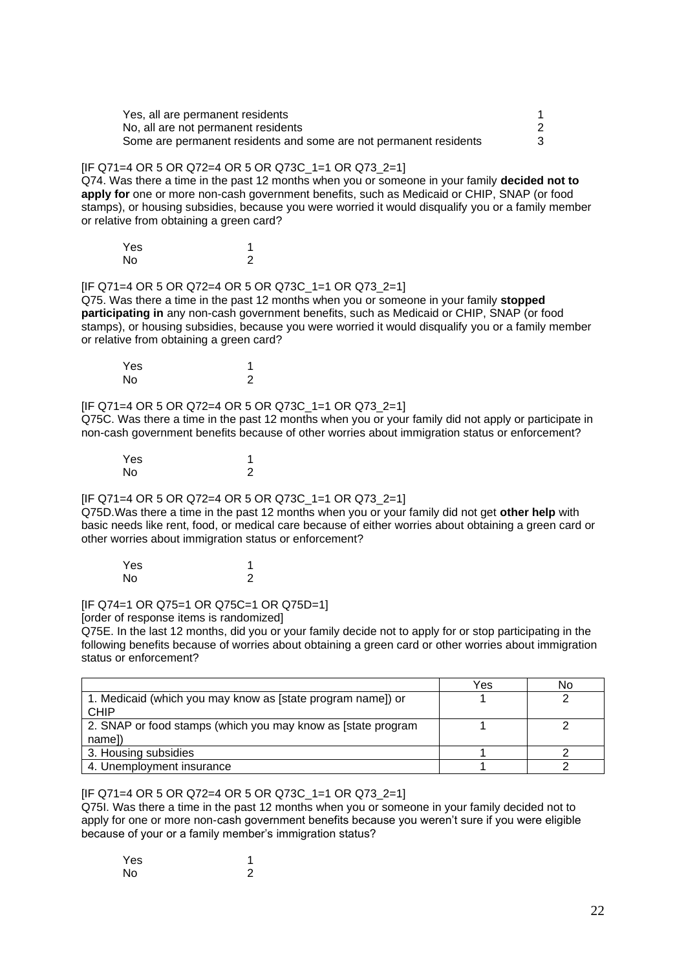| Yes, all are permanent residents                                  |   |
|-------------------------------------------------------------------|---|
| No, all are not permanent residents                               |   |
| Some are permanent residents and some are not permanent residents | 3 |

### [IF Q71=4 OR 5 OR Q72=4 OR 5 OR Q73C\_1=1 OR Q73\_2=1]

Q74. Was there a time in the past 12 months when you or someone in your family **decided not to apply for** one or more non-cash government benefits, such as Medicaid or CHIP, SNAP (or food stamps), or housing subsidies, because you were worried it would disqualify you or a family member or relative from obtaining a green card?

| Yes |   |
|-----|---|
| No  | 2 |

[IF Q71=4 OR 5 OR Q72=4 OR 5 OR Q73C\_1=1 OR Q73\_2=1]

Q75. Was there a time in the past 12 months when you or someone in your family **stopped participating in** any non-cash government benefits, such as Medicaid or CHIP, SNAP (or food stamps), or housing subsidies, because you were worried it would disqualify you or a family member or relative from obtaining a green card?

| Yes |   |
|-----|---|
| No  | 2 |

[IF Q71=4 OR 5 OR Q72=4 OR 5 OR Q73C\_1=1 OR Q73\_2=1] Q75C. Was there a time in the past 12 months when you or your family did not apply or participate in non-cash government benefits because of other worries about immigration status or enforcement?

Yes 1<br>No 2 N<sub>o</sub>

[IF Q71=4 OR 5 OR Q72=4 OR 5 OR Q73C\_1=1 OR Q73\_2=1]

Q75D.Was there a time in the past 12 months when you or your family did not get **other help** with basic needs like rent, food, or medical care because of either worries about obtaining a green card or other worries about immigration status or enforcement?

Yes 1 No 2

[IF Q74=1 OR Q75=1 OR Q75C=1 OR Q75D=1]

[order of response items is randomized]

Q75E. In the last 12 months, did you or your family decide not to apply for or stop participating in the following benefits because of worries about obtaining a green card or other worries about immigration status or enforcement?

|                                                              | Yes | No |
|--------------------------------------------------------------|-----|----|
| 1. Medicaid (which you may know as [state program name]) or  |     |    |
| <b>CHIP</b>                                                  |     |    |
| 2. SNAP or food stamps (which you may know as [state program |     |    |
| name])                                                       |     |    |
| 3. Housing subsidies                                         |     |    |
| 4. Unemployment insurance                                    |     |    |

### [IF Q71=4 OR 5 OR Q72=4 OR 5 OR Q73C\_1=1 OR Q73\_2=1]

Q75I. Was there a time in the past 12 months when you or someone in your family decided not to apply for one or more non-cash government benefits because you weren't sure if you were eligible because of your or a family member's immigration status?

| Yes |   |
|-----|---|
| No  | 2 |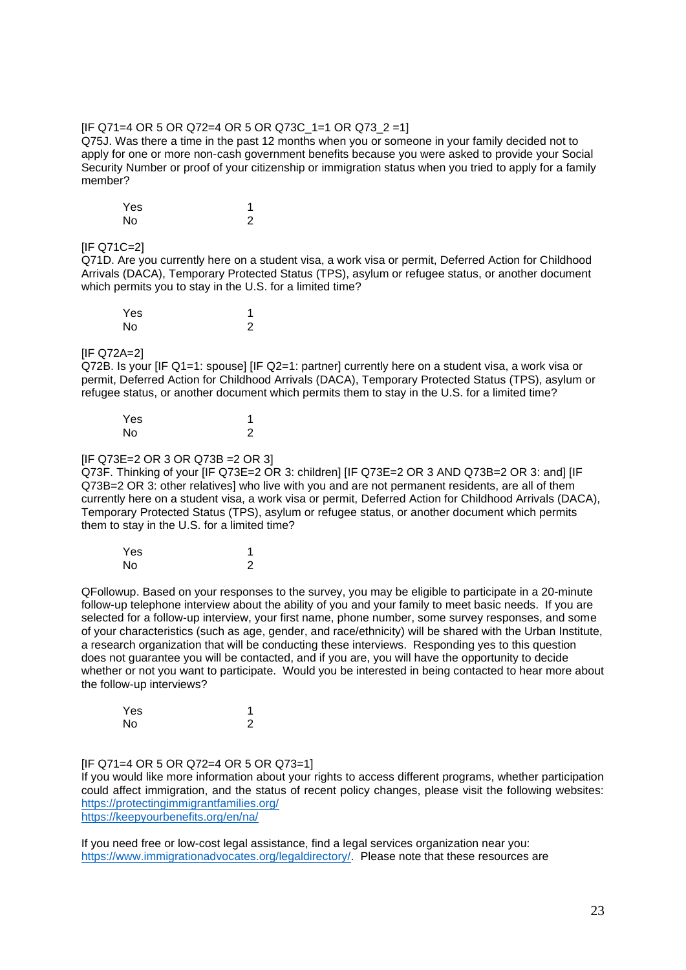### [IF Q71=4 OR 5 OR Q72=4 OR 5 OR Q73C\_1=1 OR Q73\_2 =1]

Q75J. Was there a time in the past 12 months when you or someone in your family decided not to apply for one or more non-cash government benefits because you were asked to provide your Social Security Number or proof of your citizenship or immigration status when you tried to apply for a family member?

| Yes |   |
|-----|---|
| No  | 2 |

#### [IF Q71C=2]

Q71D. Are you currently here on a student visa, a work visa or permit, Deferred Action for Childhood Arrivals (DACA), Temporary Protected Status (TPS), asylum or refugee status, or another document which permits you to stay in the U.S. for a limited time?

| Yes |   |
|-----|---|
| No  | っ |

#### [IF Q72A=2]

Q72B. Is your [IF Q1=1: spouse] [IF Q2=1: partner] currently here on a student visa, a work visa or permit, Deferred Action for Childhood Arrivals (DACA), Temporary Protected Status (TPS), asylum or refugee status, or another document which permits them to stay in the U.S. for a limited time?

| Yes |  |
|-----|--|
| No  |  |

#### [IF Q73E=2 OR 3 OR Q73B =2 OR 3]

Q73F. Thinking of your [IF Q73E=2 OR 3: children] [IF Q73E=2 OR 3 AND Q73B=2 OR 3: and] [IF Q73B=2 OR 3: other relatives] who live with you and are not permanent residents, are all of them currently here on a student visa, a work visa or permit, Deferred Action for Childhood Arrivals (DACA), Temporary Protected Status (TPS), asylum or refugee status, or another document which permits them to stay in the U.S. for a limited time?

| Yes |   |
|-----|---|
| No  | っ |

QFollowup. Based on your responses to the survey, you may be eligible to participate in a 20-minute follow-up telephone interview about the ability of you and your family to meet basic needs. If you are selected for a follow-up interview, your first name, phone number, some survey responses, and some of your characteristics (such as age, gender, and race/ethnicity) will be shared with the Urban Institute, a research organization that will be conducting these interviews. Responding yes to this question does not guarantee you will be contacted, and if you are, you will have the opportunity to decide whether or not you want to participate. Would you be interested in being contacted to hear more about the follow-up interviews?

| Yes |   |
|-----|---|
| No  | っ |

[IF Q71=4 OR 5 OR Q72=4 OR 5 OR Q73=1]

If you would like more information about your rights to access different programs, whether participation could affect immigration, and the status of recent policy changes, please visit the following websites: <https://protectingimmigrantfamilies.org/> <https://keepyourbenefits.org/en/na/>

If you need free or low-cost legal assistance, find a legal services organization near you: [https://www.immigrationadvocates.org/legaldirectory/.](https://www.immigrationadvocates.org/legaldirectory/) Please note that these resources are